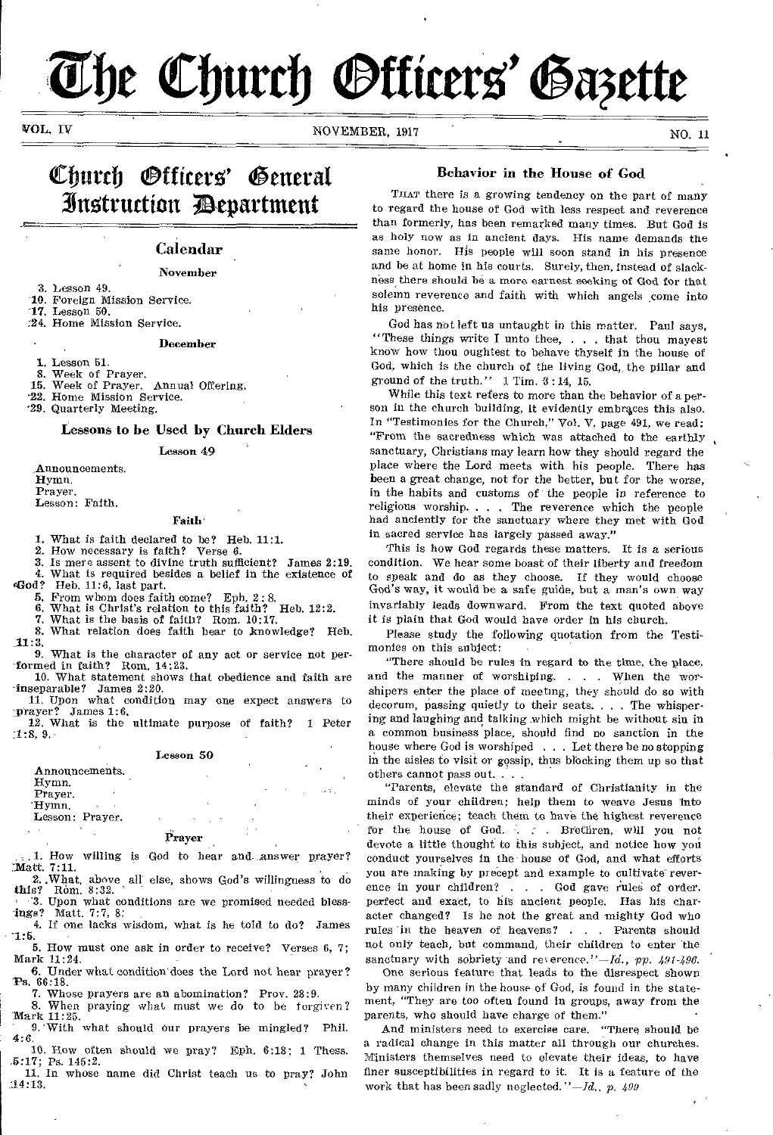# The Church **Officers' Gazette**

VOL. IV NOVEMBER, 1917 NOVEMBER, 1917

# Church *O*fficers' ifitt4truction department

# Calendar

# November

- 3. Lesson 49.
- 10. Foreign Mission Service.
- 17. Lesson 50. :24. Home Mission Service.
- 

# December

- 1. Lesson 51.
- 8. Week of Prayer.<br>15. Week of Prayer.
- Week of Prayer. Annual Offering. '22. Home Mission Service.
- '29. Quarterly Meeting.

# Lessons to be Used by Church Elders

Lesson 49

Announcements.

Hymn. Prayer.

Lesson: Faith.

# Faith'

1. What is faith declared to be? Heb. 11:1.

2. How necessary is faith? Verse *6.* 

- 3. Is mere assent to divine truth sufficient? James 2:19. 4. What is required besides a belief in the existence of  $\mathfrak{gl}$  od? Heb 11:6 last part
	- Heb.  $11:6$ , last part.
	- 5. From whom does faith come? Eph. 2: 8.<br>6. What is Christ's relation to this faith? Heb. 12:2.
	- 6. What is Christ's relation to this faith? Heb. 12:2.
	- 7. What is the basis of faith? Rom. 10:17.
- 8. What relation does faith bear to knowledge? Heb. 11:3.

9. What is the character of any act or service not per formed in faith? Rom. 14:23.

10. What statement shows that obedience and faith are inseparable? James 2:20.

11. Upon what condition may one expect answers to  $James 1:6.$ 

12. What is the ultimate purpose of faith? 1 Peter :1:8, 9,

# Lesson 50

## Announcements. Hymn. Prayer. 'Hymn.

# Lesson: Prayer.

# Prayer

1. How willing is God to hear and answer prayer?  $\mathbf{Matt.}$  7:11.

2..What, above all else, shows God's willingness to do this? Rom. 8:32. ' '3. Upon what conditions are we promised needed bless-

ings? Matt. 7:7, 8: 4. If one lacks wisdom, what is he told to do? James

-1:5. 5. How must one ask in order to receive? Verses 6, 7;

Mark 11:24. 6. Under what condition does the Lord not hear prayer? 'Ps. 66:18.

7. Whose prayers are an abomination? Prov. 28:9. 8. When praying what must we do to be forgiven?

'Mark 11:25. ' 9.'With what should Our prayers be mingled? Phil.

10. How often should we pray? Eph. 6:18; 1 Thess.

.5:17; Ps. 145:2. 11. In whose name did Christ teach us to pray? John 34:13.

# Behavior in the House of God

THAT there is a growing tendency on the part of many to regard the house of God with less respect and reverence than formerly, has been remarked many times. But God is as holy now as in ancient days. His name demands the same honor. His people will soon stand in his presence and be at home in his courts. Surely, then, instead of slackness there should he a more earnest seeking of God for that solemn reverence and faith with which angels come into his presence.

God has not left us untaught in this matter. Paul says, "These things write I unto thee, . . that thou mayest know how thou oughtest to behave thyself in the house of God, which is the church of the living God,, the pillar and ground of the truth."  $1$  Tim.  $3:14$ , 15.

While this text refers to more than the behavior of a person in the church building, it evidently embraces this also. In "Testimonies for the Church," Vol. V, page 491, we read: "From the sacredness which was attached to the earthly , sanctuary, Christians may learn how they should regard the place where the Lord meets with his people. There has been a great change, not for the better, but for the worse, in the habits and customs of the people in reference to religious worship. . . The reverence which the people had anciently for the sanctuary where they met with God in sacred service has largely passed away."

This is how God regards these matters. It is a serious condition. We hear some boast of their liberty and freedom to speak and do as they choose. If they would choose God's way, it would be a safe guide, but a man's own way invariably leads downward. From the text quoted above it is plain that God would have order in his church.

Please study the following quotation from the Testimonies on this subject:

"There should be rules in regard to the time, the place, and the manner of worshiping. . . . When the worshipers enter the place of meeting, they should do so with decorum, passing quietly to their seats. . . . The whispering and laughing and talking which might be without sin in a common business place, should find no sanction in the house where God is worshiped . . . Let there be no stopping in the aisles to visit or gossip, thus blocking them up so that others cannot pass out. . . .

"Parents, elevate the standard of Christianity in the minds of your children; help them to weave Jesus into their experience; teach them to have the highest reverence for the house of God. . . Brethren, will you not devote a little thought to this subject, and notice how you conduct yourselves in the house of God, and what efforts you are making by precept and example to cultivate reverence in your children? . . . God gave rules of order, perfect and exact, to his ancient people. Has his character changed? Is he not the great and mighty God who rules 'in the heaven of heavens? . . Parents should not only teach, but command, their children to enter 'the sanctuary with sobriety and reverence."-Id., pp. 491-496.

One serious feature that leads to the disrespect shown by many children in the house of God, is found in the statement, "They are too often found in groups, away from the parents, who should have charge of them."

And ministers need to exercise care. "There should be a radical change in this matter all through our churches. Ministers themselves need to elevate their Ideas, to have finer susceptibilities in regard to it. It is a feature of the work that has been sadly neglected. *"-Id., p. 499*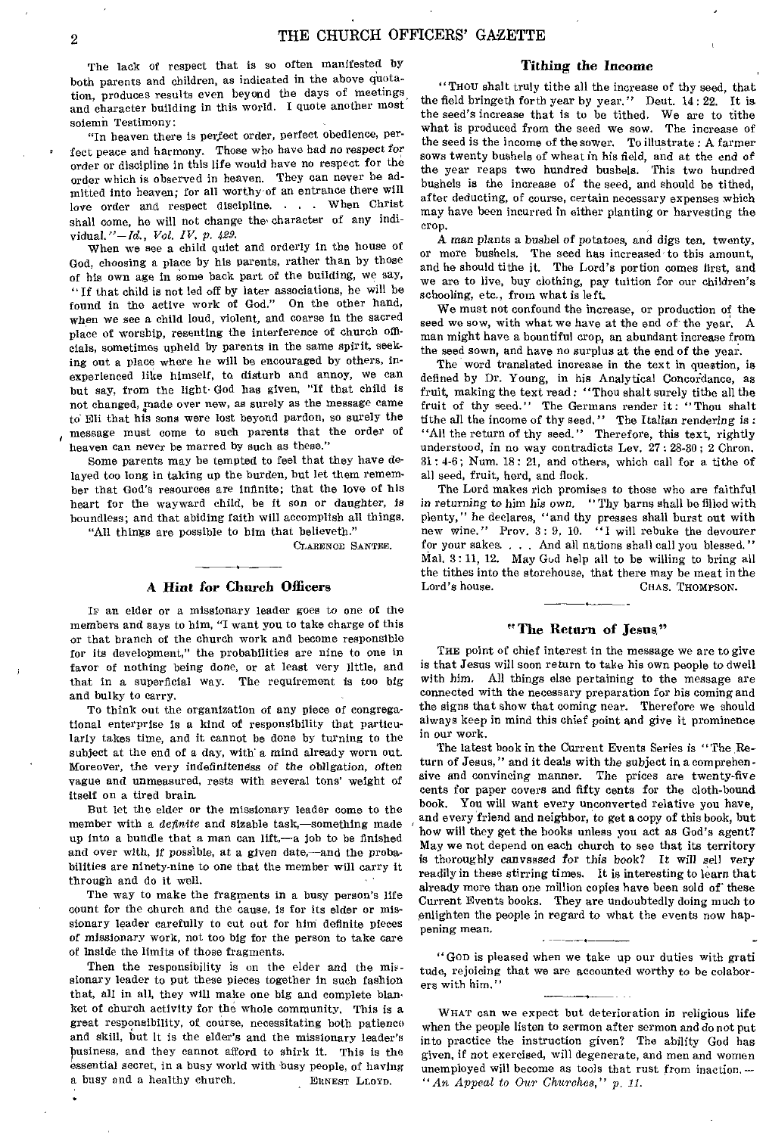The lack of respect that is so often manifested by both parents and children, as indicated in the above quotation, produces results even beyond the days of meetings, and character building in this world. I quote another most solemn Testimony:

"In heaven there is perfect order, perfect obedience, perfect peace and harmony. Those who have had no respect *for*  order or discipline in this life would have no respect for the order which is observed in heaven. They can never be admitted into heaven; for all worthy of an entrance there will love order and respect discipline. . . . When Christ shall come, he will not change the' character of any individual."—Id., *Vol. IV, p. 429.* 

When we see a child quiet and orderly in the house of God, choosing a place by his parents, rather than by those of his own age in some back part of the building, we say, "If that child is not led off by later associations, he will be found in the active work of God." On the other hand, when we see a child loud, violent, and coarse in the sacred place of worship, resenting the interference of church officials, sometimes upheld by parents in the same spirit, seeking out a place where he will be encouraged by others, inexperienced like himself, to disturb and annoy, we can but say, from the light. God has given, "If that child is not changed, made over new, as surely as the message came to Eli that his sons were lost beyond pardon, so surely the message must come to such parents that the order of heaven can never be marred by such as these."

Some parents may be tempted to feel that they have delayed too long in taking up the burden, but let them remember that God's resources are infinite; that the love of his heart for the wayward child, be it son or daughter, is boundless; and that abiding faith will accomplish all things.

"All things are possible to him that believeth."

CLAREN0E SANTEE.

# A Hint *for* Church Officers

Ir an elder or a missionary leader goes to one of the members and says to him, "I want you to take charge of this or that branch of the church work and become responsible for its development," the probabilities are nine to one in favor of nothing being done, or at least very little, and that in a superficial way. The requirement is too big and bulky to carry.

To think out the organization of any piece of congregational enterprise is a kind of responsibility that particularly takes time, and it cannot be done by turning to the subject at the end of a day, with a mind already worn out. Moreover, the very indefiniteness *of* the obligation, often vague and unmeasured, rests with several tons' weight of itself on a tired brain.

But let the elder or the missionary leader come to the member with a *definite* and sizable task,—something made up into a bundle that a man can lift,—a job to be finished and over with, if possible, at a given date,—and the probabilities are ninety-nine to one that the member will carry it through and do it well.

The way to make the fragments in a busy person's life count for the church and the cause, is for its elder or missionary leader carefully to cut out for him definite pieces of missionary work, not too big for the person to take care of inside the limits of those fragments.

Then the responsibility is on the elder and the missionary leader to put these pieces together in such fashion that, all in all, they will make one big and complete blanket of church activity for the whole community. This is a great responsibility, of course, necessitating both patience and skill, but it is the elder's and the missionary leader's h essential secret, in a busy world with busy people, of having usiness, and they cannot afford to shirk it. This is the a busy and a healthy church, ERNEST LLOYD.

# Tithing the Income

"THOU shalt truly tithe all the increase of thy seed, that the field bringeth forth year by year." Deut. 14 : 22. It is the seed's increase that is to be tithed. We are to tithe what is produced from the seed we sow. The increase of the seed is the income of the sower. To illustrate : A farmer sows twenty bushels of wheat in his field, and at the end of the year reaps two hundred bushels. This two hundred bushels is the increase of the seed, and should be tithed, after deducting, of course, certain necessary expenses which may have been incurred in either planting or harvesting the crop.

A man plants a bushel *of* potatoes, and digs ten, twenty, or more bushels. The seed has increased to this amount, and he should tithe it. The Lord's portion comes first, and we are to live, buy clothing, pay tuition for our children's schooling, etc., from what is left.

We must not confound the increase, or production of the seed we sow, with what we have at the end of the year. A man might have a bountiful crop, an abundant increase from the seed sown, and have no surplus at the end of the year.

The word translated increase in the text in question, is defined by Dr. Young, in his Analytical Concordance, as fruit, making the text read : "Thou shalt surely tithe all the fruit of thy seed." The Germans render it: "Thou shalt tithe all the income of thy seed," The Italian rendering is : "All the return of thy seed." Therefore, this text, rightly understood, in no way contradicts Lev. 27: 28-30; 2 Chron. 31: 4-6; Num. 18: 21, and others, which call for a tithe of all seed, fruit, herd, and flock.

The Lord makes rich promises to those who are faithful *in* returning to him his own. " Thy barns shall be filled with plenty," he declares, "and thy presses shall burst out with new wine." Prov, 3: 9, 10. "I will rebuke the devourer for your sakes. . . . And all nations shall call you blessed." Mal. 3: 11, 12. May God help all to be willing to bring all the tithes into the storehouse, that there may be meat in the Lord's house. CHAS. THOMPSON.

# "The Return of Jesus"

THE point of chief interest in the message we are to give is that Jesus will soon return to take his own people to dwell with him. All things else pertaining to the message are connected with the necessary preparation for his coming and the signs that show that coming near. Therefore we should always keep in mind this chief point and give it prominence in our work.

The latest book in the Current Events Series is "The Return of Jesus," and it deals with the subject in a comprehensive and convincing manner. The prices are twenty-five cents for paper covers and fifty cents for the cloth-bound book. You will want every unconverted relative you have, and every friend and neighbor, to *get a* copy of this book, but how will they get the books unless you act as God's agent? May we not depend on each church to see that its territory is thoroughly canvassed *for this* book? It will *sell* very readily in these stirring times. It is interesting to learn that already more than one million copies have been sold of these Current Events books. They are undoubtedly doing much to enlighten the people in regard to what the events now happening mean.

• "GOD is pleased when we take up our duties with grati tude, rejoicing that we are accounted worthy to be colaborers with him."

WHAT can we expect but deterioration in religious life when the people listen to sermon after sermon and do not put into practice the instruction given? The ability God has given, if not exercised, will degenerate, and men and women unemployed will become as tools that rust from inaction. *— "An Appeal to Our Churches," p, 11.*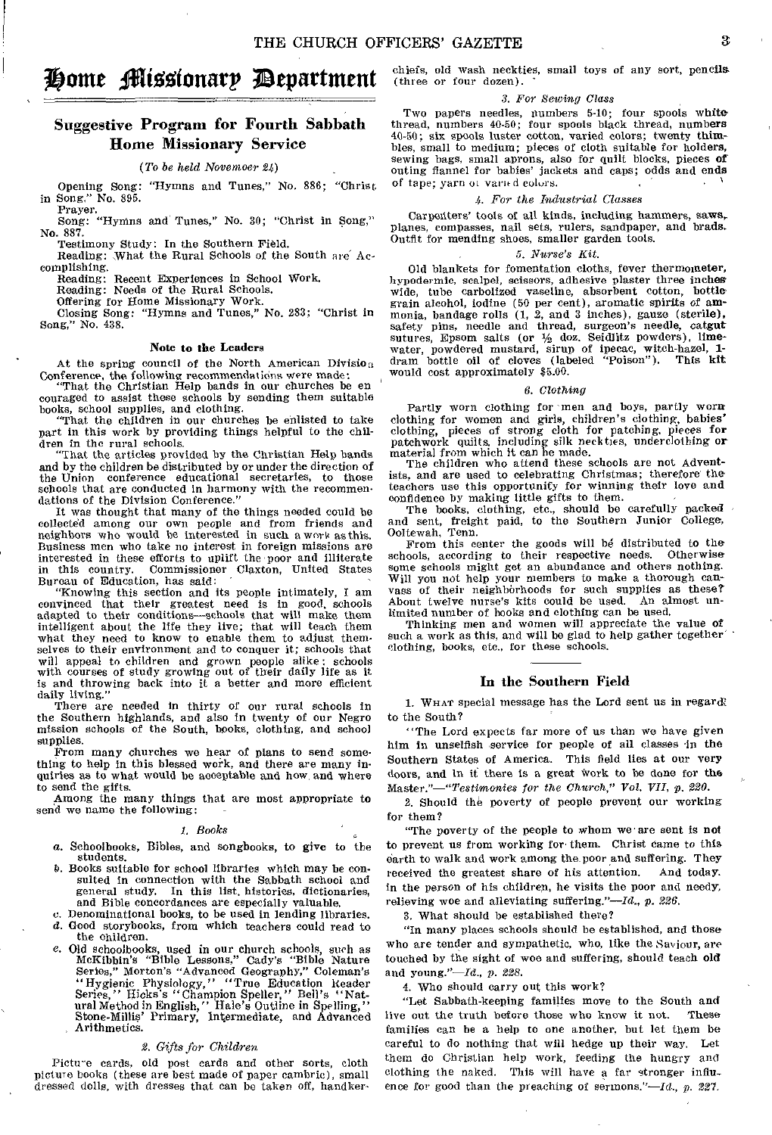# Home Missionary Department

# Suggestive Program for Fourth Sabbath Home Missionary Service

# *(To be held Novenwer 24)*

Opening Song: "Hymns and Tunes," No. 886; "Christ in Song." No. 895.

Prayer. Song: "Hymns and Tunes," No. 30; "Christ in Song," No. 887. Testimony Study: In the Southern Field.

Reading: What the Rural Schools of the South are Accomplishing.

Reading: Recent Experiences in School Work.

Reading: Needs of the Rural Schools.

Offering for Home Missionary Work. Closing Song: "Hymns and Tunes," No. 283; "Christ in Song," No. 438.

# Note to the Leaders

At the spring council of the North American Division Conference, the following recommendations were made:

"That the Christian Help bands in our churches be en couraged to assist these schools by sending them suitable

books, school supplies, and clothing. "That the children in our churches be enlisted to take part in this work by providing things helpful to the children in the rural schools.

"That the articles provided by the Christian Help bands and by the children be distributed by or under the direction of the Union conference educational secretaries, to those schools that are conducted in harmony with the recommendations of the Division Conference."

It was thought that many of the things needed could be collected among our own people and from friends and neighbors who would be interested in such a work as this. Business men who take no interest in foreign missions are interested in these efforts to uplift the poor and illiterate in this country. Commissioner Claxton, United States Bureau of Education, has said:

"Knowing this section and its people intimately, I am convinced that their greatest need is in good, schools adapted to their conditions—schools that will make them intelligent about the life they live; that will teach them what they need to know to enable them to adjust themselves to their environment and to conquer it; schools that will appeal to children and grown people alike: schools with courses of study growing out of their daily life as it is and throwing back into it a better and more efficient daily living."

There are needed in thirty of our rural schools in the Southern highlands, and also in twenty of our Negro mission schools of the South, books, clothing, and school supplies.

From many churches we hear of plans to send something to help in this blessed work, and there are many inquiries as to what would be acceptable and how, and where to send the gifts.

Among the many things that are most appropriate to send we name the following:

# *I. Books*

- a. Schoolbooks, Bibles, and songbooks, to give to the students.
- P. Books suitable for school libraries which may be consulted in connection with the Sabbath school and general study. In this list, histories, dictionaries, and Bible concordances are especially valuable.
- o. Denominational books, to be used in lending libraries.
- d. Good storybooks, from which teachers could read to the children.
- e. Old schoolbooks, used in our church schools, such as McKibbin's "Bible Lessons," Cady's "Bible Nature Series," Morton's "Advanced Geography," Coleman's<br>
"Hygienic Physiology," "True Education Reader<br>
Series," Hicks's "Champion Speller," Bell's "Nat-<br>
ural Method in English," Hale's Outline in Spelling,"<br>
Stone-Millis' Prim

# *2. Gifts for Children.*

Picture cards, old post cards and other sorts, cloth picture books (these are best made of paper cambric), small dressed dolls, with dresses that can be taken off, handkerchiefs, old wash neckties, small toys of any sort, pencils (three or four dozen).

# 3. *For Sewing Class*

Two papers needles, numbers 5-10; four spools white thread, numbers 40-50; four spools black thread, numbers 40-50; six spools luster cotton, varied colors; twenty thimbles, small to medium; pieces of cloth suitable for holders, sewing bags, small aprons, also for quilt blocks, pieces of outing flannel for babies' jackets and caps; odds and ends of tape; yarn or varied colors.

# *4. For the Industrial Classes*

Carpenters' tools of all kinds, including hammers, saws, planes, compasses, nail sets, rulers, sandpaper, and brads. Outfit for mending shoes, smaller garden tools.

# *5. Nurse's Kit.*

Old blankets for fomentation cloths, fever thermometer, hypodermic, scalpel, scissors, adhesive plaster three inches wide, tube carbolized vaseline, absorbent cotton, bottle grain alcohol, iodine (50 per cent), aromatic spirits of ammonia, bandage rolls (1, 2, and 3 inches), gauze (sterile), safety pins, needle and thread, surgeon's needle, catgut sutures, Epsom salts (or  $\frac{1}{2}$  doz. Seidlitz powders), lime-<br>water, powdered mustard, sirup of ipecac, witch-hazel, 1-<br>dram bottle oil of cloves (labeled "Poison"). This kit would cost approximately \$5.00.

# 6. *Clothing*

Partly worn clothing for men and boys, partly worn clothing for women and girls, children's clothing, babies' clothing, pieces of strong cloth for patching, pieces for patchwork quilts, including silk neckties, underclothing or

material from which it can he made. The children who attend these schools are not Adventists, and are used to celebrating Christmas; therefore the teachers use this opportunity for winning their love and confidence by making little gifts to them.

The books, clothing, etc., should be carefully packed and sent, freight paid, to the Southern Junior College, Ooltewah, Tenn.

From this center the goods will be distributed to the pools, according to their respective needs. Otherwise schools, according to their respective needs. some schools might get an abundance and others nothing. Will you not help your members to make a thorough canvass of their neighborhoods for such supplies as these? About twelve nurse's kits could be used. An almost unlimited number of books and clothing can be used.

Thinking men and women will appreciate the value of such a work as this, and will be glad to help gather together clothing, books, etc., for these schools.

# In the Southern Field

1. WHAT special message has the Lord sent us in regard; to the South?

"The Lord expects far more of us than we have given him in unselfish service for people of all classes in the Southern States of America. This field lies at our very doors, and in it there is a great work to be done for the Master."—"Testimonies *for the Church," Vol. VII, p. 220.* 

2. Should the poverty of people prevent our working for them?

"The poverty of the people to whom we are sent is not to prevent us from working for- them. Christ came to this earth to walk and work among the poor and suffering. They received the greatest share of his attention. And today. in the person of his children, he visits the poor and needy, relieving woe and alleviating suffering." $-Id$ , p. 226.

3. What should be established there?

"In many places schools should be established, and those who are tender and sympathetic, who, like the Saviour, are touched by the sight of woe and suffering, should teach old and young."—Id., *p. 228.* 

4. Who should carry out this work?

"Let Sabbath-keeping families move to the South and live out the truth before those who know it not. families can be a help to one another, but let them be careful to do nothing that will hedge up their way, Let them do Christian help work, feeding the hungry and clothing the naked. This will have a far stronger influence for good than the preaching of sermons."- $Id_{n}$ , p. 227.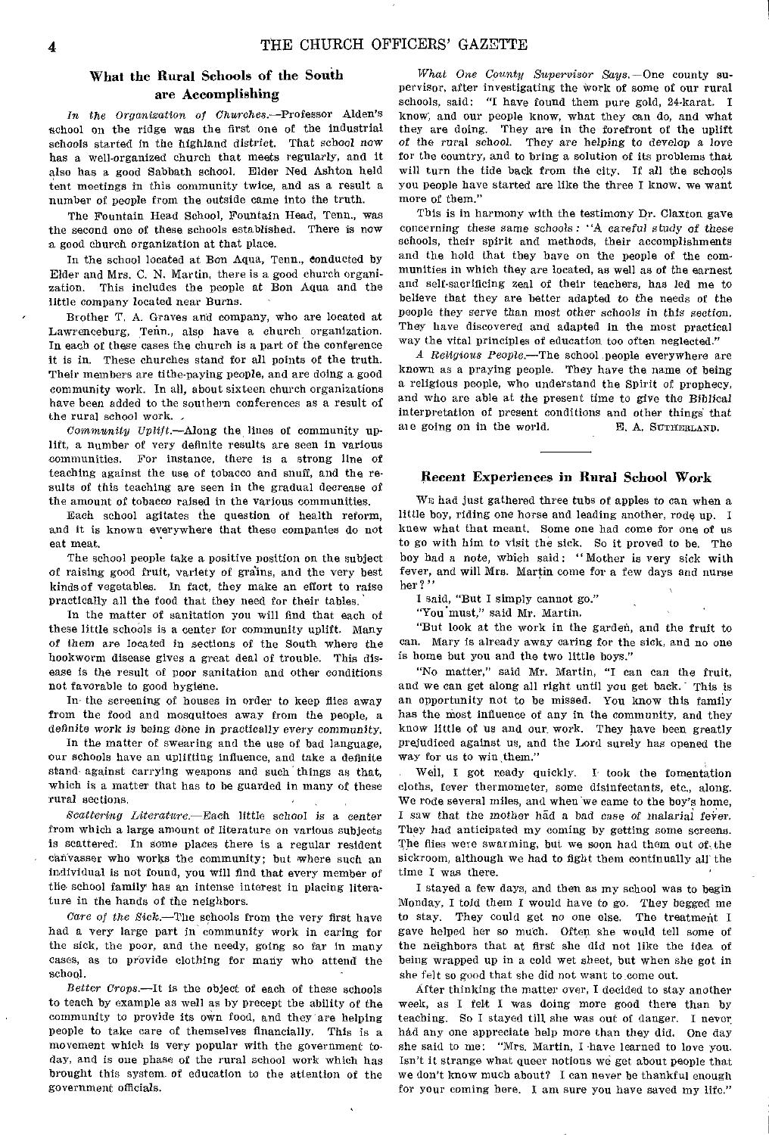# What the Rural Schools of the South are Accomplishing

*In the Organization of Churches.—Professor* Alden's school on the ridge was the first one of the industrial schools started in the highland district. That school now has a well-organized church that meets regularly, and it also has a good Sabbath school. Elder Ned Ashton held tent meetings in this community twice, and as a result a number of people from the outside came into the truth.

The Fountain Head School, Fountain Head, Tenn., was the second one of these schools established. There is now a good church organization at that place.

In the school located at Bon Aqua, Tenn., conducted by Elder and Mrs. C. N. Martin, there is a good church organization. This includes the people at Bon Aqua and the little company located near Burns.

Brother T, A. Graves and company, who are located at Lawrenceburg, Tenn., also have a church organization. In each of these cases the church is a part of the conference it is in. These churches stand for all points of the truth. Their members are tithe-paying people, and are doing a good community work. In all, about sixteen church organizations have been added to the southern conferences as a result of the rural school work.

*Community Uplift.—Along* the lines of community uplift, a number of very definite results are seen in various communities. For instance, there is a strong line of teaching against the use of tobacco and snuff, and the results of this teaching are seen in the gradual decrease of the amount of tobacco raised in the various communities.

Each school agitates the question of health reform, and it is known everywhere that these companies do not eat meat.

The school people take a positive position on the subject of raising good fruit, variety of grains, and the very best kinds of vegetables. In fact, they make an effort to raise practically all the food that they need for their tables.

In the matter of sanitation you will find that each of these little schools is a center for community uplift. Many of them are located in sections of the South where the hookworm disease gives a great deal of trouble. This disease is the result of poor sanitation and other conditions not favorable to good hygiene.

In- the screening of houses in order to keep flies away from the food and mosquitoes away from the people, a definite work is being done in practically every community.

In the matter of swearing and the use of bad language, our schools have an uplifting influence, and take a definite stand- against carrying weapons and such things as that, which is a matter that has to be guarded in many of these rural sections.

*Scattering Literature.—Each* little school is a center from which a large amount of literature on various subjects is scattered: In some places there is a regular resident canvasser who works the community; but where such an individual is not found, you Will find that every member of the- school family has an intense interest in placing literature in the hands of the neighbors.

*Care of the* Sick.—The schools from the very first have had a very large part in community work in caring for the sick, the poor, and the needy, going so far in many cases, as to provide clothing for many who attend the school.

*Better Crops.—It* is the object of each of these schools to teach by example as well as by precept the ability of the community to provide its own food, and they are helping people to take care of themselves financially. This is a movement which is very popular with the government today, and is one phase of the rural school work which has brought this system of education to the attention of the government officials.

*What One County Supervisor Says.—One* county supervisor, after investigating the work of some of our rural schools, said: "I have found them pure gold, 24-karat. I know; and our people know, what they can do, and what they are doing. They are in the forefront of the uplift *of the* rural *school.* They are helping *to* develop a love for the country, and to bring a solution of its problems that will turn the tide back from the city. If all the schools you people have started are like the three I know, we want more of them."

This is in harmony with the testimony Dr. Claxton gave concerning these same schools: "A *careful study of* these schools, their spirit and methods, their accomplishments and the hold that they have on the people of the communities in which they are located, as well as of the earnest and self-sacrificing zeal of their teachers, has led me to believe that they are better adapted to the needs of the people they serve than most other schools in this *section.*  They have discovered and adapted in the most practical way the vital principles of education too often neglected."

*A Religious* People.—The school !people everywhere are known as a praying people. They have the name of being a religious people, who understand the Spirit of prophecy, and who are able at the present time to give the Biblical interpretation of present conditions and other things that at e going on in the world. E. A. SUTHERLAND.

# Recent Experiences in Rural School Work

WE had just gathered three tubs of apples to can when a little boy, riding one horse and leading another, rode up. I knew what that meant. Some one had come for one of us to go with him to visit the sick. So it proved to be. The boy had a note, which said: "Mother is very sick with fever, and will Mrs. Martin come for a few days and nurse her?'

I said, "But I simply cannot go."

"You must," said Mr. Martin.

"But look at the work in the garden, and the fruit to can. Mary is already away caring for the sick, and no one is home but you and the two little boys."

"No matter," said Mr. Martin, "I can can the fruit, and we can get along all right until you get back. This is an opportunity not to be missed. You know this family has the most influence of any in the community, and they know little of us and our, work. They have been greatly prejudiced against us, and the Lord surely has opened the way for us to win them."

Well, I got ready quickly. I took the fomentation cloths, fever thermometer, some disinfectants, etc., along. We rode several miles, and when we came to the boy's home, I *saw* that the mother had a bad case *of* malarial feirer, They had anticipated my coming by getting some screens. The flies were swarming, but we soon had them out of the sickroom, although we had to fight them continually all the time I was there.

I stayed a few days, and then as my school was to begin Monday, I told them I would have to go. They begged me to stay. They could get no one else. The treatment I gave helped her so much. Often she would tell some of the neighbors that at first she did not like the idea of being wrapped up in a cold wet sheet, but when she got in she felt so good that she did not want to come out.

After thinking the matter over, I decided to stay another week, as I felt I was doing more good there than by teaching. So I stayed till she was out of danger. I never had any one appreciate help more than they did. One day she said to me: "Mrs. Martin, I have learned to love you. Isn't it strange what queer notions we get about people that we don't know much about? I can never be thankful enough for your coming here. I am sure you have saved my life."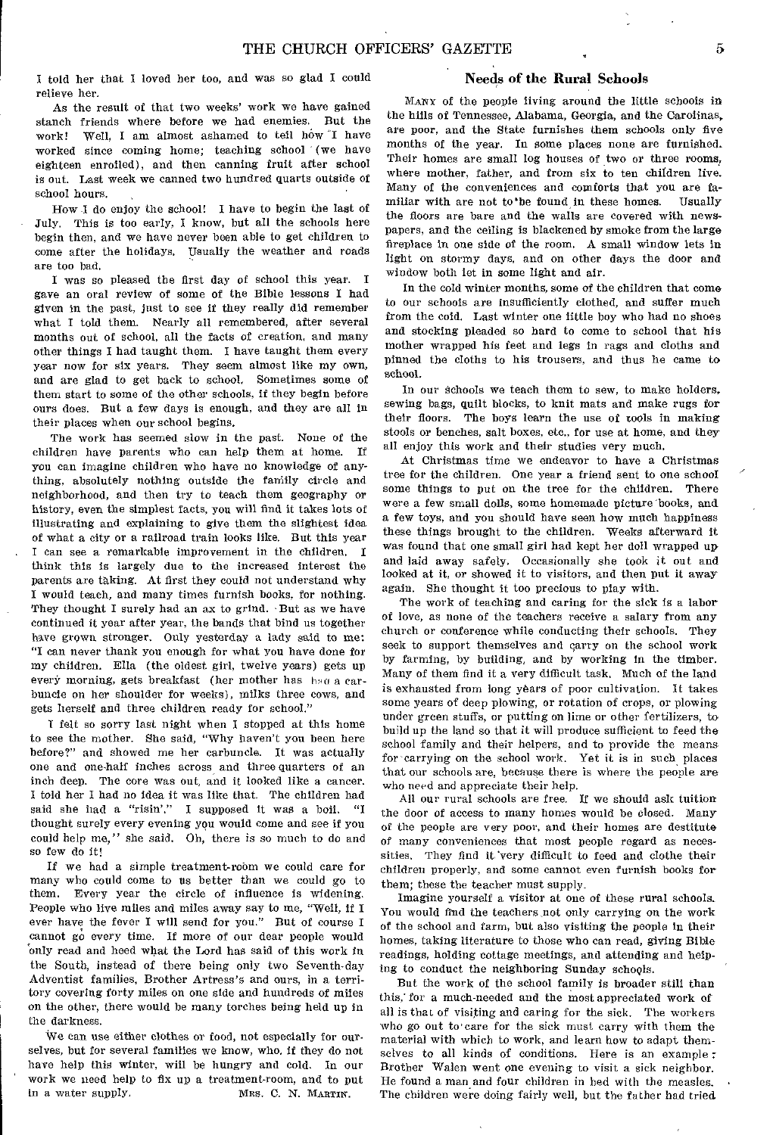I told her that I loved her too, and was so glad I could relieve her.

As the result of that two weeks' work we have gained stanch friends where before we had enemies. But the work! Well, I am almost ashamed to tell how "I have worked since coming home; teaching school (we have eighteen enrolled), and then canning fruit after school is out. Last week we canned two hundred quarts outside of school hours.

How I do enjoy the school! I have to begin the last of July. This is too early, I know, but all the schools here begin then, and we have never been able to get children to come after the holidays. Usually the weather and roads are too bad.

I was so pleased the first day of school this year. I gave an oral review of some of the Bible lessons I had given in the past, just to see if they really did remember what I told them. Nearly all remembered, after several months out of school, all the facts of creation, and many other things I had taught them. I have taught them every year now for six years. They seem almost like my own, and are glad to get back to school, Sometimes some of them start to some of the other schools, if they begin before ours does. But a few days is enough, and they are all in their places when our school begins.

The work has seemed slow in the past. None of the children have parents who can help them at home. If you can imagine children who have no knowledge of anything, absolutely nothing outside the faniily circle and neighborhood, and then try to teach them geography or history, even the simplest facts, you will find it takes lots of illustrating and explaining to give them the slightest idea of what a city or a railroad train looks like. But this year . I can see a remarkable improvement in the children. I think this is largely due to the increased interest the parents are taking. At first they could not understand why I would teach, and many times furnish books, for nothing. They thought I surely had an ax to grind. 'But as we have continued it year after year, the bands that bind us together have grown stronger. Only yesterday a lady said to me: "I can never thank you enough for what you have done for my children. Ella (the oldest girl, twelve years) gets up every morning, gets breakfast (her mother has had a carbuncle on her shoulder for weeks), milks three cows, and gets herself and three children ready for school."

I felt so sorry last night when I stopped at this home to see the mother. She said, "Why haven't you been here before?" and showed me her carbuncle. It was actually one and one-half inches across and three quarters of an inch deep. The core was out, and it looked like a cancer. I told her I had no idea it was like that. The children had said she had a "risin'." I supposed it was a boil. "I thought surely every evening you would come and see if you could help me," she said. Oh, there is so much to do and so few do it!

If we had a simple treatment-room we could care for many who could come to us better than we could go to them. Every year the circle of influence is widening. People who live miles and miles away say to me, "Well, if I ever have the fever I will send for you." But of course I cannot go every time. If more of our dear people would only read and heed what the Lord has said of this work in the South, instead of there being only two Seventh-day Adventist families, Brother Artress's and ours, in a territory covering forty miles on one side and hundreds of miles on the other, there would be many torches being held up in the darkness.

We can use either clothes or food, not especially for ourselves, but for several families we know, who, if they do not have help this winter, will be hungry and cold. In our work we need help to fix up a treatment-room, and to put<br>in a water supply. MRS. C. N. MARTIN. MRS. C. N. MARTIN.

# Needs of the Rural Schools

MANY of the people living around the little schools in the hills of Tennessee, Alabama, Georgia, and the Carolinas, are poor, and the State furnishes them schools only five months of the year. In some places none are furnished. Their homes are small log houses of two or three rooms, where mother, father, and from six to ten children live. Many of the conveniences and comforts that you are fa-<br>miliar with are not to be found in these homes. Hsually miliar with are not to be found in these homes. the floors are bare and the walls are covered with newspapers, and the ceiling is blackened by smoke from the large fireplace in one side of the room. A small window lets in light on stormy days, and on other days the door and window both let in some light and air.

In the cold winter months, some of the children that come to our schools are insufficiently clothed, and suffer much from the cold. Last winter one little boy who had no shoes and stocking pleaded so hard to come to school that his mother wrapped his feet and legs in rags and cloths and pinned the cloths to his trousers, and thus he came to school.

In our Schools we teach them to sew, to make holders, sewing bags, quilt blocks, to knit mats and make rugs for their floors. The boys learn the use of tools in making stools or benches, salt boxes, etc., for use at home, and they all enjoy this work and their studies very much.

At Christmas time we endeavor to have a Christmas tree for the children. One year a friend sent to one school some things to put on the tree for the children. There were a few small dolls, some homemade picture books, and a few toys, and you should have seen how much happiness these things brought to the children. Weeks afterward it was found that one small girl had kept her doll wrapped up and laid away safely. Occasionally she took it out and looked at it, or showed it to visitors, and then put it away again. She thought it too precious to play with.

The work of teaching and caring for the sick is a labor of love, as none of the teachers receive a salary from any church or conference while conducting their schools. They seek to support themselves and carry on the school work by farming, by building, and by working in the timber. Many of them find it a very difficult task. Much of the land is exhausted from long years of poor cultivation. It takes some years of deep plowing, or rotation of crops, or plowing under green stuffs, or putting on lime or other fertilizers, to build up the land so that it will produce sufficient to feed the school family and their helpers, and to provide the means for carrying on the school work. Yet it is in such, places that our schools are, because there is where the people are who need and appreciate their help.

All our rural schools are free. If we should ask tuition the door of access to many homes would be closed. Many of the people are very poor, and their homes are destitute of many conveniences that most people regard as necessities. They find it very difficult to feed and clothe their children properly, and some cannot even furnish books for them; these the teacher must supply.

Imagine yourself a visitor at one of these rural schools. You would find the teachers not only carrying on the work of the school and farm, but also visiting the people in their homes, taking literature to those who can read, giving Bible readings, holding cottage meetings, and attending and helping to conduct the neighboring Sunday schools.

But the work of the school family is broader still than this,' for a much-needed and the most appreciated work of all is that of visiting and caring for the sick. The workers who go out to'care for the sick must carry with them the material with which to work, and learn how to adapt themselves to all kinds of conditions. Here is an example : Brother Walen went one evening to visit a sick neighbor. He found a man and four children in bed with the measles. The children were doing fairly well, but the father had tried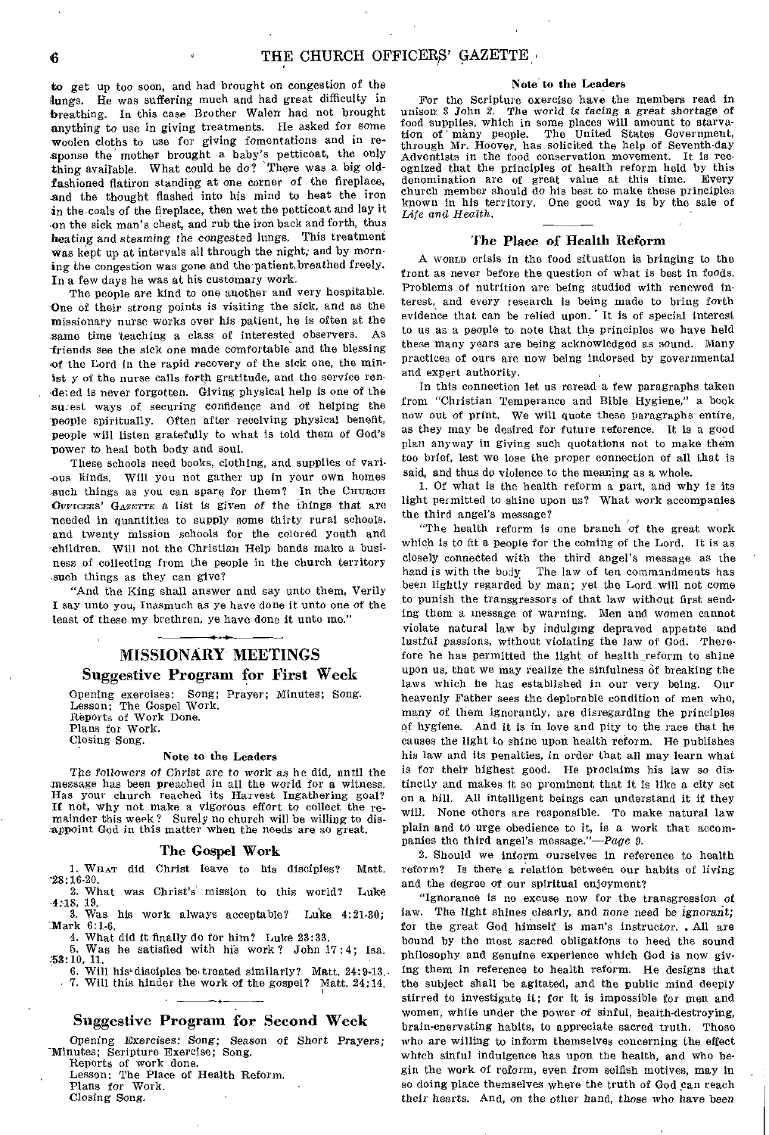to get up too soon, and had brought on congestion of the lungs. He was suffering much and had great difficulty in breathing. In this case Brother Walen had not brought anything to use in giving treatments. He asked for some woolen cloths to use for giving fomentations and in response the mother brought a baby's petticoat, the only thing available. What could he do? There was a big oldfashioned flatiron standing at one corner of the fireplace, and the thought flashed into his mind to heat the iron in the coals of the fireplace, then wet the petticoat and lay it -on the sick man's chest, and rub the iron back and forth, thus heating and *steaming the* congested lungs. This treatment was kept up at intervals all through the night; and by morning the congestion was gone and the patient,breathed freely. In a few days he was at his customary work.

The people are kind to one another and very hospitable. -One of their strong points is visiting the sick, and as the missionary nurse works over his patient, he is often at the same time teaching a class of interested observers. As -friends see the sick one made comfortable and the blessing of the Lord in the rapid recovery of the sick one, the minist y of the nurse calls forth gratitude, and the service ren deted is never forgotten. Giving physical help is one of the surest ways of securing confidence and of helping the people spiritually. Often after receiving physical benefit, people will listen gratefully to what is told them of God's power to heal both body and soul.

These schools need books, clothing, and supplies of vari- -ous kinds. Will you not gather up in your own homes such things as you can spare for them? In the CHURCH OFFICERS' GAZCTTE a list is *given of* the things that are -needed in quantities to supply some thirty rural schools, and twenty mission schools for the colored youth and -children. Will not the Christian Help bands make a business of collecting from the people in the church territory .such things as they can give?

"And the King shall answer and say unto them, Verily I say unto you, Inasmuch as ye have done it unto one of the least of these my brethren, ye have done it unto me."

# MISSIONARY MEETINGS Suggestive Program for First Week

Opening exercises: Song; Prayer; Minutes; Song. Lesson: The Gospel Work. Reports of Work Done. Plans for Work. Closing Song.

# Note to the Leaders

The *followers of Christ are* to work as he did, until the message has been preached in all the world for a witness. Has your church reached its Harvest Ingathering goal? If not, why not make a vigorous effort to collect the remainder this week? Surely no church will be willing to dis-appoint God in this matter when the needs are so great.

# The Gospel Work

I. WHAT did Christ leave to his disciples? Matt. -28:16-20.

2. What was Christ's mission to this world? Luke

4:18, 19. 3. Was his work always acceptable? Luke 4:21-30; Mark 6:1-6.

4. What did it finally do for him? Luke 23:33.

5. Was he satisfied with his work? John 17 :4; Isa. 53:10, 11. **6. Will his disciples be treated similarly?** Matt. 24:9-13.

7. Will this hinder the work of the gospel? Matt, 24:14.

# Suggestive Program for Second Week

Opening Exercises: *Song; Season of Short* Prayers; Minutes; Scripture Exercise; Song.

Reports of work done. Lesson: The Place of Health Reform.

Plans for Work.

Closing Song,

# Note to the Leaders

For the Scripture exercise have the members read in unison 3 John 2. The world is facing a great shortage of The world is facing a great shortage of food supplies, which in some places will amount to starvation of many people. The United States Government, through Mr. Hoover, has solicited the help of Seventh-day Adventists in the food conservation movement. It is recognized that the principles of health reform held by this denomination are of great value at this time. Every church member should do his best to make these principles known in his territory. One good way is by the sale of Life and Health.

# The Place of Health Reform

A womin crisis in the food situation is bringing to the front as never before the question of what is best in foods. Problems of nutrition are being studied with renewed interest, and every research is being made to bring forth evidence that can be relied upon. It is of special interest to us as a people to note that the principles we have held these many years are being acknowledged as sound. Many practices of ours are now being indorsed by governmental and expert authority.

In this connection let us reread a few paragraphs taken from "Christian Temperance and Bible Hygiene," a book now out of print. We will quote these paragraphs entire, as they may be desired for future reference. It is a good plan anyway in giving such quotations not to make them too brief, lest we lose the proper connection of all that is said, and thus do violence to the meaning as a whole.

1. Of what is the health reform a part, and why is its light permitted to shine upon us? What work accompanies the third angel's message?

"The health reform is one branch of the great work which is to fit a people for the coming of the Lord. It is as closely connected with the third angel's message as the hand is with the body The law of ten commandments has been lightly regarded by man; yet the Lord will not come to punish the transgressors of that law without first sending them a message of warning. Men and women cannot violate natural law by indulging depraved appetite and lustful passions, without violating the law of God. Therefore he has permitted the light of health reform to shine upon us, that we may realize the sinfulness of breaking the laws which he has established in our very being. Our heavenly Father *sees* the deplorable condition of men who, many of them ignorantly, are disregarding the principles of hygiene. And it is in love and pity to the race that he causes the light to shine upon health reform. He publishes his law and its penalties, in order that all may learn what is for their highest good. He proclaims his law so distinctly and makes it so prominent that it is like a city set on a hill. All intelligent beings can understand it if they will. None others are responsible. To make natural law plain and to urge obedience to it, is a work that accompanies the third angel's message."—Page *9.* 

2. Should we inform ourselves in reference to health reform? Is there a relation between our habits of living and the degree of our spiritual enjoyment?

"Ignorance is no excuse now for the transgression of law. The light shines clearly, and none need be *ignorant;*  for the great God himself is man's instructor.. All are bound by the most sacred obligations to heed the sound philosophy and genuine experience which God is now giving them in reference to health reform. He designs that the subject shall be agitated, and the public mind deeply stirred to investigate it; for it is impossible for men and women, while under the power of sinful, health-destroying, brain-enervating habits, to appreciate sacred truth. Those who are willing to inform themselves concerning the effect which sinful indulgence has upon the health, and who begin the work of reform, even from selfish motives, may in so doing place themselves where the truth of God can reach their hearts. And, on the other hand, those who have been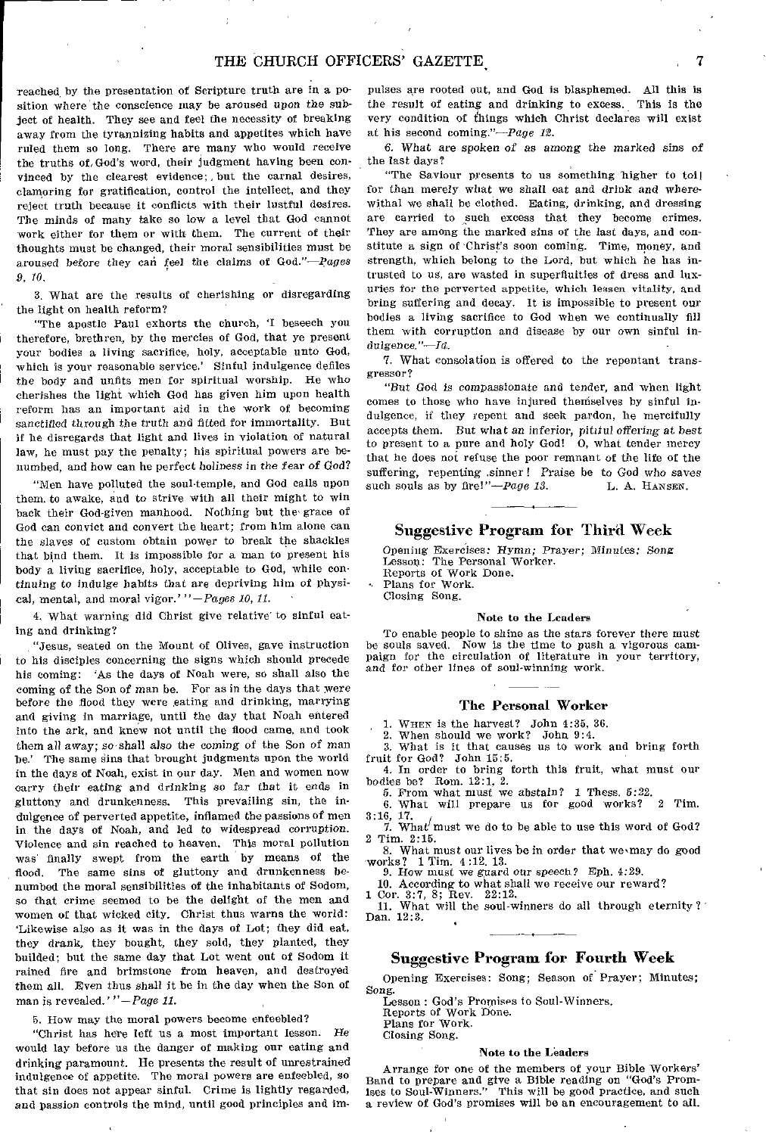reached by the presentation of Scripture truth are in a position where' the conscience may be aroused upon the subject of health. They see and feel the necessity of breaking away from the tyrannizing habits and appetites which have ruled them so long. There are many who would receive the truths of,God's word, their judgment having been convinced by the clearest evidence; , but the carnal desires, clamoring for gratification, control the intellect, and they reject truth because it conflicts with their lustful desires. The minds of many take so low a level that God cannot work either for them or with them. The current of their thoughts must be changed, their moral sensibilities must be aroused before they can feel the claims of God." $-pages$ *9, 10.* 

3. What are the results of cherishing or disregarding the light on health reform?

"The apostle Paul exhorts the church, 'I beseech you therefore, brethren, by the mercies of God, that ye present your bodies a living sacrifice, holy, acceptable unto God, which is your reasonable service.' Sinful indulgence defiles the body and unfits men for spiritual worship. He who cherishes the light which God has given him upon health reform has an important aid in the work of becoming sanctified *through* the truth and fitted for immortality. But if he disregards that light and lives in violation of natural law, he must pay the penalty; his spiritual powers are benumbed, and how can he perfect holiness in the fear *of* God?

"Men have polluted the soul-temple, and God calls upon them. to awake, and to strive with all their might to win back their God-given manhood. Nothing but the' grace of God can convict and convert the heart; from him alone can the slaves of custom obtain power to break the shackles that bind them. It is impossible for a man to present his body a living sacrifice, holy, acceptable to God, while continuing to indulge habits that are depriving him of physical, mental, and moral vigor.' *"-Pages 10, 11.* 

4. What warning did Christ give relative to sinful eating and drinking?

"Jesus, seated on the Mount of Olives, gave instruction to his disciples concerning the signs which should precede his coming: 'As the days of Noah were, so shall also the coming of the Son of man be. For as in the days that were before the flood they were eating and drinking, marrying and giving in marriage, until the day that Noah entered into the ark, and knew not until the flood came, and took them all away; so shall also the coming of the Son of man be.' The same sins that brought judgments upon the world in the days of Noah, exist in our day. Men and women now carry their eating and drinking so *far* that it ends in gluttony and drunkenness. This prevailing sin, the indulgence of perverted appetite, inflamed the passions of men in the days of Noah, and led to widespread corruption. Violence and sin reached to heaven. This moral pollution was' finally swept from the earth by means of the flood. The same sins of gluttony and drunkenness benumbed the moral sensibilities of the inhabitants of Sodom, so that crime seemed to be the delight of the men and women of that wicked city. Christ thus warns the world: 'Likewise also as it was in the days of Lot; they did eat, they drank, they bought, they sold, they planted, they builded; but the same day that Lot went out of Sodom it rained fire and brimstone from heaven, and destroyed them all. Even thus shall it be in the day when the Son of man is revealed.'"-Page 11.

5. How may the moral powers become enfeebled?

"Christ has here left us a most Important lesson. He would lay before us the danger of making our eating and drinking paramount. He presents the result of unrestrained indulgence of appetite. The moral powers are enfeebled, so that sin does not appear sinful. Crime Is lightly regarded, and passion controls the mind, until good principles and impulses are rooted out, and God is blasphemed. All this is the result of eating and drinking to excess. This is the very condition of things which Christ declares will exist at his second coming."-Page 12.

6. What are spoken *of as among* the marked sins of the last days?

"The Saviour presents to us something higher to toil for than merely what we shall eat and drink and wherewithal we shall be clothed. Eating, drinking, and dressing are carried to such excess that they become crimes. They are among the marked sins of the last days, and constitute a sign of Christ's soon coming. Time, money, and strength, which belong to the Lord, but which he has intrusted to us, are wasted in superfluities of dress and luxuries for the perverted appetite, which lessen vitality, and bring suffering and decay. It is impossible to present our bodies a living sacrifice to God when we continually fill them with corruption and disease by our own sinful in $d$ ulgence." $-Id$ .

7. What consolation is offered to the repentant transgressor?

"But God is compassionate and tender, and when light comes to those who have injured themselves by sinful indulgence, if they repent and seek pardon, he mercifully accepts them. But what an inferior, pitiful *offering* at best to present to a pure and holy God! 0, what tender mercy that he does not refuse the poor remnant of the life of the suffering, repenting sinner! Praise be to God who saves such souls as by fire!"- $Page \ 13.$  I. A. HANSEN. such souls as by fire!" $-page$  13.

# Suggestive Program for Third Week

Opening Exercises: *Hymn; Prayer;* Minutes; Song Lesson: The Personal Worker.

Reports of Work Done. Plans for Work.

Closing Song.

# Note to the Leaders

To enable people to shine as the stars forever there must be souls saved. Now is the time to push a vigorous campaign for the circulation of literature in your territory, and for other lines of soul-winning work.

# The Personal Worker

1. WHEN is the harvest? John 4:35, 36.

2. When should we work? John 9:4.

3. What is it that causes us to work and bring forth fruit for God? John 15:5. 4. In order to bring forth this fruit, what must our

bodies be? Rom. 12:1, 2.

 $\overline{5}$ . From what must we abstain? 1 Thess.  $5:22$ .<br> $\overline{5}$ . What will prepare us for good works? 2 Tim.

6. What will prepare us for good works? 3:16, 17.

7. What' must we do to be able to use this word of  $God?$ 2 Tim. 2:15.

8. What must our lives be in order that we may do good works? 1 Tim. 4 :12, 13. 9. How must we guard our speech? Eph. 4:29.

10. According to what shall we receive our reward? 1 Cor. 3:7, 8; Rev. 22:12.

11. What will the soul-winners do all through eternity?' Dan. 12:3.

# Suggestive Program for Fourth Week

Opening Exercises: Song; Season of Prayer; Minutes; Song.

Lesson : God's Premises to Soul-Winners.

Reports of Work Done.

Plans for Work. Closing Song.

# Note to the Leaders

Arrange for one of the members of your Bible Workers' Band to prepare and give a Bible reading on "God's Prom-ises to Soul-Winners." This will be good practice, and such a review of God's promises will be an encouragement to all.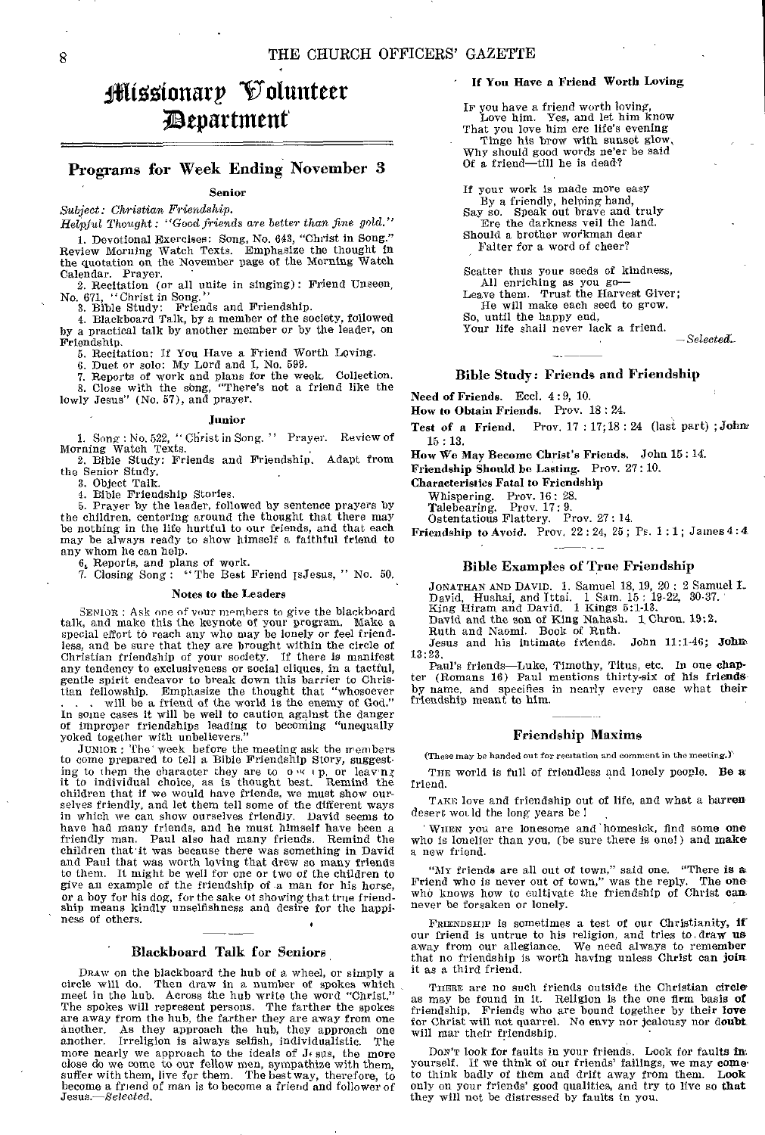# lifitotonarp Volunteer ;Department

# Programs for Week Ending November 3

**Senior** 

*Subject: Christian Friendship.* 

Helpful *Thought:* "Good friends are better *than* fine gold." 1. Devotional Exercises: Song, No. 643, "Christ in Song." Review Morning Watch Texts. Emphasize the thought in the quotation on the November page of the Morning Watch

Calendar. Prayer. 2. Recitation (or all unite in singing): Friend Unseen, No. 671, "Christ in Song." 3. Bible Study: Friends and Friendship.

4. Blackboard Talk, by a member of the society, followed by a practical talk by another member or by the leader, on

Friendship. 5. Recitation: If You Have a Friend Worth Loving.

6. Duet or solo: My Lord and I, No. 599.

7. Reports of work and plans for the week. Collection. 3. Close with the song, "There's not a friend like the lowly Jesus" (No. 57), and prayer.

### **Junior**

1. Song : No. 522, " Christ in Song. " Prayer. Review of Morning Watch Texts.

2. Bible Study: Friends and Friendship. Adapt from the Senior Study.

3. Object Talk. 4. Bible Friendship Stories.

5. Prayer by the leader, followed by sentence prayers by the children, centering around the thought that there may be nothing in the life hurtful to our friends, and that each may be always ready to show himself a faithful friend to any whom he can help.

6. Reports, and plans of work.

7. Closing Song : "The Best Friend IsJesus, " No. 50.

# **Notes to the** Leaders

SENIOR : Ask one of your members to give the blackboard talk, and make this the keynote of your program. Make a special effort to reach any who may be lonely or feel friend-less, and be sure that they are brought within the circle of Christian friendship of your society. If there is manifest any tendency to exclusiveness or social cliques, in a tactful, gentle spirit endeavor to break down this barrier to Christian fellowship. Emphasize the thought that "whosoever will be a friend of the world is the enemy of God." In some cases it will be well to caution against the danger of improper friendships leading to becoming "unequally yoked together with unbelievers.

JUNIOR : The' week before the meeting ask the members to come prepared to tell a Bible Friendship Story, suggesting to them the character they are to  $\alpha \times \beta$ , or leaving it to individual choice, as is thought best. Remind the children that if we would have friends, we must show ourselves friendly, and let them tell some of the different ways in which we can show ourselves friendly. David seems to have had many friends, and he must himself have been a Faul also had many friends. children that it was because there was something in David and Paul that was worth loving that drew so many friends to them. It might be well for one or two of the children to give an example of the friendship of -a man for his horse, or a boy for his dog, for the sake of showing that true friend-ship means kindly unselfishness and desire for the happiness of others.

# Blackboard Talk for Seniors

DRAw on the blackboard the hub of a wheel, or simply a circle will do. Then draw in a number of spokes which meet in the hub. Across the hub write the word "Christ." The spokes will represent persons. The farther the spokes are away from the hub, the farther they are away from one another. As they approach the hub, they approach one another. Irreligion is always selfish, individualistic. The more nearly we approach to the ideals of  $J_f$  sus, the more close do we come to our fellow men, sympathize with them, suffer with them, live for them. The best way, therefore, to become a friend of man is to become a frie *Jesus.—Selected.* 

# **If You Have a Friend Worth Loving**

Ie you have a friend worth loving, Love him. Yes, and let him know That you love him ere life's evening Tinge his brow with sunset glow, Why should good words ne'er be said Of a friend—till he is dead?

If your work is made more easy By a friendly, helping hand,<br>Say so. Speak out brave and truly Ere the darkness veil the land. Should a brother workman dear Falter for a word of cheer?

Scatter thus your seeds of kindness, All enriching as you go— Leave them. Trust the Harvest Giver; He will make each seed to grow.

So, until the happy end,

Your life shall never lack a friend.

*—Selected.\_* 

# Bible Study: Friends and Friendship

**Need of Friends.** Feel. 4 :9, **10.** 

**How to Obtain Friends.** Prov. 18 : 24.

**Test of a Friend.** Prov. 17 : 17; 18 : 24 (last part) ; **Joke 15 : 13.** 

**How We May Become Christ's Friends.** John 15: 14.

**Friendship Should be Lasting.** Prov. 27: 10.

**Characteristics Fatal to Friendship** 

Whispering. Prov. 16: 28.<br>Talebearing. Prov. 17: 9. Talebearing.

Ostentatious Flattery. Prov. 27 : 14.

Friendship to Avoid. Prov, 22 : 24, 25 ; Pr. 1 : **1 ;** James 4 : **4** 

# Bible Examples of True Friendship

JONATHAN AND DAVID. 1. Samuel 18, 19, 20 ; 2 Samuel 1\_ David, Hushai, and Ittai. 1 Sam. 15: 19-22, 30-87. King Hiram and David. 1 Kings 5:1-13. David and the son of King Nahash. 1 Chron. 19:2.

Ruth and Naomi. Book of Ruth.

Jesus and his intimate friends. John 11:1-46; John. 13:23.

Paul's friends—Luke, Timothy, Titus, etc. In one chap-ter (Romans 16) Paul mentions thirty-six of his friendsby name, and specifies in nearly every case what their friendship meant to him.

# Friendship Maxims

(These may be handed out for recitation and comment in the meeting.)

THE world is full of friendless and lonely people. Be afriend.

TAKE love and friendship out of life, and what a barren desert would the long years be !

WHEN you are lonesome and homesick, find some one who is lonelier than you, (be sure there is one!) and make a new friend.

"Mr friends are all out of town," said one. "There **is** *a*  Friend who is never out of town," was the reply. The one who knows how to cultivate the friendship of Christ can never be forsaken or lonely.

FRIENDSHIP is sometimes a test of our Christianity, if our friend is untrue to his religion, and tries to. draw us away from our allegiance. We need always to remember that no friendship is worth having unless Christ can join it as a third friend.

THERE are no such friends outside the Christian circle as may be found in it. Religion is the one firm basis **of**  friendship. Friends who are bound together by their love for Christ will not quarrel. No envy nor jealousy nor doubt. will mar their friendship.

Don'r look for faults in your friends. Look for faults in: yourself. If we think of our friends' failings, we may cometo think badly of them and drift away from them. **Look**  only on your friends' good qualities, and try to live so that they will not be distressed by faults in you.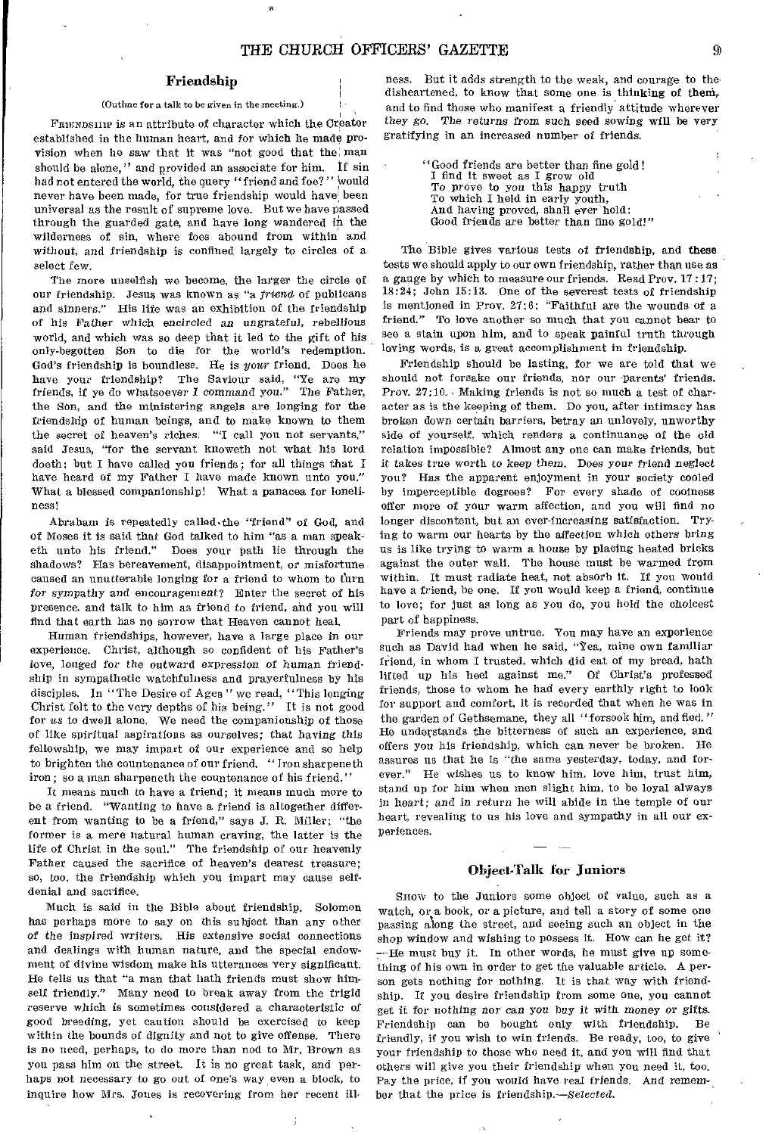# Friendship

## (Outline for a talk to be given in the meeting.)

FRIENDSHIP is an attribute of character which the Creator established in the human heart, and for which he made provision when he saw that it was "not good that the man should be alone," and provided an associate for him. If sin had not entered the world, the query "friend and foe?" would never have been made, for true friendship would have been universal as the result of supreme love. But we have passed through the guarded gate, and have long wandered in the wilderness of sin, where foes abound from within and without, and friendship is confined largely to circles of a select few.

The more unselfish we become, the larger the circle of our friendship. Jesus was known as "a *friend* of publicans and sinners." His life was an exhibition of the friendship of his Father which encircled an ungrateful, rebellious world, and which was so deep that it led to the gift of his only-begotten Son to die for the world's redemption. God's friendship is boundless. He is your friend. Does he have your friendship? The Saviour said, "Ye are my friends, if ye do whatsoever I command *you."* The Father, the Son, and the ministering angels are longing for the friendship of human beings, and to make known to them the secret of heaven's riches. "I call you not servants," said Jesus, "for the servant knoweth not what his lord doeth: but I have called you friends; for all things that I have heard of my Father I have made known unto you." What a blessed companionship! What a panacea for loneliness!

Abraham is repeatedly called,the "friend" of God, and of Moses it is said that God talked to him "as a man speaketh unto his friend." Does your path lie through the shadows? Has bereavement, disappointment, or misfortune caused an unutterable longing for a friend to whom to turn *for sympathy* and encouragement? Enter the secret of his presence, and talk to him as friend to friend, and you will find that earth has no sorrow that Heaven cannot heal.

Human friendships, however, have a large place in our experience. Christ, although so confident of his Father's love, longed for the outward *expression of* human friendship in sympathetic watchfulness and prayerfulness by his disciples. In ''The Desire of Ages " we read, "This longing Christ felt to the very depths of his being." It is not good for *us* to dwell alone, We need the companionship of those of like spiritual aspirations as ourselves; that having this fellowship, we may impart of our experience and so help to brighten the countenance of our friend. "Iron sharpeneth iron; so a man sharpeneth the countenance of his friend."

It means much to have a friend; it means much more to be a friend. "Wanting to have a friend is altogether different from wanting to be a friend," says J. R. Miller; "the former is a mere natural human craving, the latter is the life of Christ in the soul." The friendship of our heavenly Father caused the sacrifice of heaven's dearest treasure; so, too, the friendship which you impart may cause selfdenial and sacrifice.

Much is said in the Bible about friendship. Solomon has perhaps more to say on this subject than any other of the inspired writers. His extensive social connections and dealings with human nature, and the special endowment of divine wisdom make his utterances very significant. He tells us that "a man that hath friends must show himself friendly." Many need to break away from the frigid reserve which is sometimes considered a characteristic of good breeding, yet caution should be exercised to keep within the bounds of dignity and not to give offense. There is no need, perhaps, to do more than nod to Mr. Brown as you pass him on the street. It is no great task, and perhaps not necessary to go out of one's way even a block, to inquire how Mrs. Jones is recovering from her recent ill-

ness. But it adds strength to the weak, and courage to the disheartened, to know that some one is thinking of theni, and to find those who manifest a friendly attitude wherever they *go.* The returns *from* such seed sowing will be very gratifying in an increased number of friends.

> "Good friends are better than fine gold ! I find it sweet as I grow old To prove to you this happy truth To which I held in early youth, And having proved, shall ever hold: Good friends are better than fine gold!"

The Bible gives various tests of friendship, and these tests we should apply to our own friendship, rather than use as a gauge by which to measure our friends. Read Prov. 17 :17; 18:24; John 15:13. One of the severest tests of friendship is mentioned in Prov. 27:6: "Faithful are the wounds of a friend." To love another so much that you cannot bear to see a stain upon him, and to speak painful truth through loving words, is a great accomplishment in friendship.

Friendship should be lasting, for we are told that we should not forsake our friends, nor our parents' friends. Prov. 27:10. Making friends is not so much a test of character as is the keeping of them. Do you, after intimacy has broken down certain barriers, betray an unlovely, unworthy side of yourself, which renders a continuance of the old relation impossible? Almost any one can make friends, but it takes true worth to keep them. Does your friend neglect you? Has the apparent enjoyment in your society cooled by imperceptible degrees? For every shade of coolness offer more of your warm affection, and you will find no longer discontent, but an ever-increasing satisfaction. Trying to warm our hearts by the affection which others bring us is like trying to warm a house by placing heated bricks against the outer wall. The house must be warmed from within. It must radiate heat, not absorb it. If you would have a friend, be one. If you would keep a friend, continue to love; for just as long as you do, you hold the choicest part of happiness.

Friends may prove untrue. You may have an experience such as David had when he said, "Yea, mine own familiar friend, in whom I trusted, which did eat of my bread, hath lifted up his heel against me." Of Christ's professed friends, those to whom he had every earthly right to look for support and comfort, it is recorded that when he was in the garden of Gethsemane, they all "forsook him, and fled." He understands the bitterness of such an experience, and offers you his friendship, which can never be broken. He assures us that he is "the same yesterday, today, and forever." He wishes us to know him, love him, trust him, stand up for him when men slight him, to be loyal always in heart; and in return he will abide in the temple of our heart, revealing to us his love and sympathy in all our experiences.

# Obieet-Talk for Juniors

SHOW to the Juniors some object of value, such as a watch, or a book, or a picture, and tell a story of some one passing along the street, arid seeing such an object in the shop window and wishing to possess it. How can he get it? —He must buy it. In other words, he must give up something of his own in order to get the valuable article. A person gets nothing for nothing. It is that way with friendship. If you desire friendship from some one, you cannot get it for nothing nor *can you* buy it with money or gifts. Friendship can be bought only with friendship. Be friendly, if you wish to win friends. Be ready, too, to give your friendship to those who need it, and you will find that others will give you their friendship when you need it, too. Pay the price, if you would have real friends. And remember that the price is friendship.—Selected.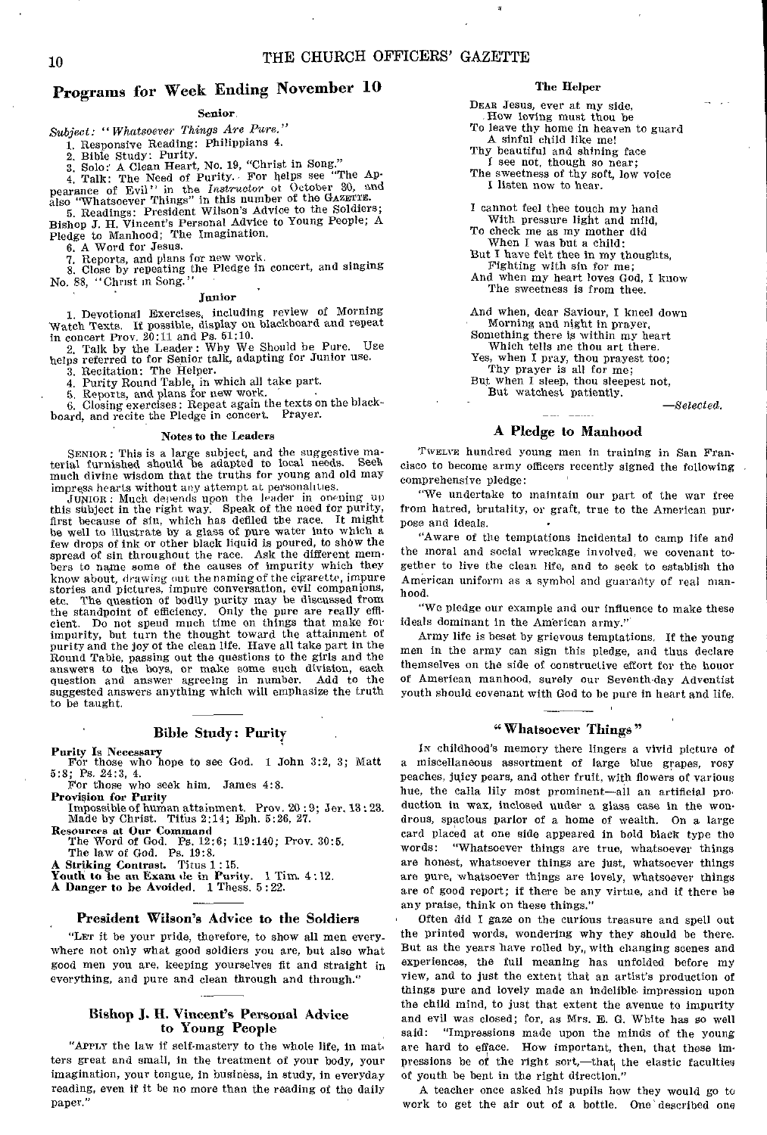# Programs for Week Ending November 10

# Senior,

*Subject: "Whatsoever Things Are Pure."* 

1. Responsive Reading: Philippians 4.

2. Bible Study: Purity.

3. Solo: A Clean Heart, No. 19, "Christ in Song." 4. Talk: The Need of Purity. For helps see "The Ap-

**pearance of Evil!**" in the *Instructor* of October 30, and also "Whatsoever Things" in this number of the GAZETTE. 5. Readings: President Wilson's Advice to the Soldiers;

Bishop J. H. Vincent's Personal Advice to Young People; A Pledge to Manhood; The Imagination.

6. A Word for Jesus.

7. Reports, and plans for new work. 8. Close by repeating the Pledge in concert, and singing No. 88, "Christ in Song.

# Junior

1. Devotional Exercises, including review of Morning Watch Texts. If possible, display on blackboard and repeat in concert Prov. 20:11 and Ps. 61:10.

2. Talk by the Leader: Why We Should be Pure. Use helps referred to for Senior talk, adapting for Junior use.

3. Recitation: The Helper.

4. Purity Round Table, in which all take part. 5. Reports, and plans for new work. 6. Closing exercises: Repeat again the texts on the black-

board, and recite the Pledge in concert. Prayer.

# Notes to the Leaders

SENIOR : This is a large subject, and the suggestive ma-terial furnished should be adapted to local needs. Seek much divine wisdom that the truths for young and old may impress hearts without any attempt at personalities.

JUNIOR: Much depends upon the leader in openingup this subject in the right way. Speak of the need for purity, first because of sin, which has defiled the race. It might be well to illustrate by a glass of pure water into which a few drops of ink or other black liquid is poured, to show the spread of sin throughout the race. Ask the different members to name some of the causes of impurity which they know about, drawing out the naming of the cigarette, impure stories and pictures, impure conversation, evil companions, etc. The question of bodily purity may be discussed from the standpoint of efficiency. Only the pure are really effi-cient. Do not spend much time on things that make for impurity, but turn the thought toward the attainment of purity and the joy of the clean life. Have all take part in the Round Table, passing out the questions to the girls and the answers to the boys, or make some such division, each question and answer agreeing in number. Add to the suggested answers anything which will emphasize the truth to be taught.

# Bible Study: Purity

Purity Is Necessary For those who hope to see God. 1 John 3:2, 3; Matt 5:8; Ps. 24:3, 4.

For those who seek him. James 4:8.<br>Provision for Purity

Provision for Purity Impossible of human attainment. Prow 20 : 9; Jer. 13 : 23. Made by Christ. Titus 2:14; Eph. 5:26, 27.

Resources at Our Command The Word of God. Ps. 12:6; 119:140; Prov. 30:5.

The law of God. Ps. 19:8.

A Striking Contrast. Titus 1 : 15. Youth to be an Exam de in Purity. 1 Tim. 4:12.

A Danger to be Avoided. 1 Thess. 5:22.

# President Wilson's Advice to the Soldiers

"LET it be your pride, therefore, to show all men everywhere not only what good soldiers you are, but also what good men you are, keeping yourselves fit and straight in everything, and pure and clean through and through."

# Bishop 1. H. Vincent's Personal Advice to Young People

"APPLY the law if self-mastery to the whole life, in mat. ters great and small, in the treatment of your body, your imagination, your tongue, in business, in study, in everyday reading, even if it be no more than the reading of the daily Paper."

# The Helper

DEAR Jesus, ever at my side,

- How loving must thou be
- To leave thy home in heaven to guard A sinful child like me!
- Thy beautiful and shining face

I see not, though so near;

The sweetness of thy soft, low voice I listen now to hear.

I cannot feel thee touch my hand With pressure light and mild, To check me as my mother did

When I was but a child:

But I have felt thee in my thoughts, Fighting with sin for me;

And when my heart loves God, I know The sweetness is from thee.

And when, dear Saviour, I kneel down

Morning and night in prayer, Something there is within my heart

Which tells me thou art there.

Yes, when I pray, thou prayest too; Thy prayer is all for me;

But when I sleep, thou sleepest not,

But watchest patiently. 

*—Selected.* 

# A Pledge to Manhood

TWELVE hundred young men in training in San Fran. cisco to become army officers recently signed the following comprehensive pledge:

"We undertake to maintain our part of the war free from hatred, brutality, or graft, true to the American pur' pose and ideals.

"Aware of the temptations incidental to camp life and the moral and social wreckage involved, we covenant together to live the clean life, and to seek to establish the American uniform as a symbol and guaranty of real manhood.

"We pledge our example and our influence to make these ideals dominant in the American army."

Army life is beset by grievous temptations. If the young men in the army can sign this pledge, and thus declare themselves on the side of constructive effort for the honor of American manhood, surely our Seventh-day Adventist youth should covenant with God to be pure in heart and life.

# "Whatsoever Things"

IN childhood's memory there lingers a vivid picture of a miscellaneous assortment of large blue grapes, rosy peaches, juicy pears, and other fruit, with flowers of various hue, the calla lily most prominent—all an artificial pro. duction in wax, inclosed under a glass case in the wondrous, spacious parlor of a home of wealth. On a large card placed at one side appeared in bold black type the "Whatsoever things are true, whatsoever things are honest, whatsoever things are just, whatsoever things are pure, whatsoever things are lovely, whatsoever things are of good report; if there be any virtue, and if there be any praise, think on these things."

Often did I gaze on the curious treasure and spell out the printed words, wondering why they should be there. But as the years have rolled by, with changing scenes and experiences, the full meaning has unfolded before my view, and to just the extent that an artist's production of things pure and lovely made an indelible- impression upon the child mind, to just that extent the avenue to impurity and evil was closed; for, as Mrs. E. G. White has so well said: "Impressions made upon the minds of the young "Impressions made upon the minds of the young are hard to efface. How important, then, that these impressions be of the right sort,—that the elastic faculties of youth be bent in the right direction."

A teacher once asked his pupils how they would go to work to get the air out of a bottle. One described one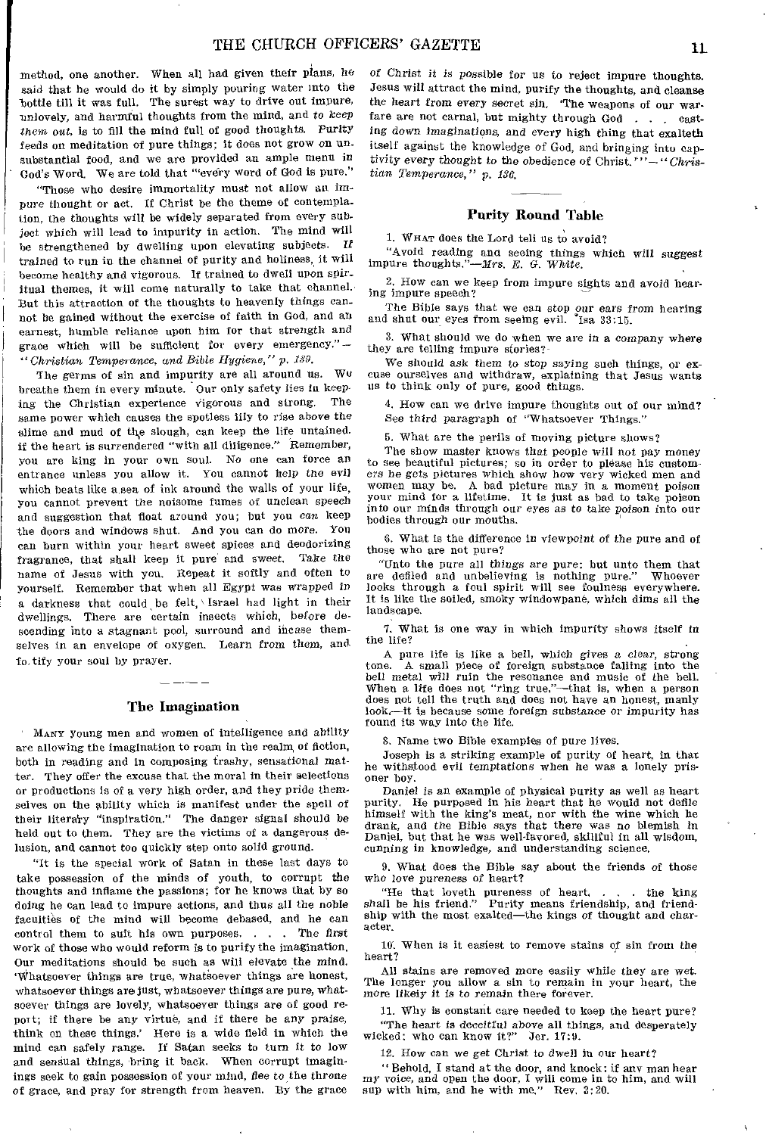method, one another. When all had given their plans, he said that he would do it by simply pouring water into the bottle till it was full. The surest way to drive out impure, unlovely, and harmful thoughts from the mind, and *to keep them out, is* to fill the mind full of good thoughts. Purity feeds on meditation of pure things; it does not grow on unsubstantial food, and we are provided an ample menu *in*  God's Word. We are told that "'every word of God is pure."

"Those who desire immortality must not allow an impure thought or act. If Christ be the theme of contemplation, the thoughts will be widely separated from every subject which will lead to impurity in action. The mind will be strengthened by dwelling upon elevating subjects. If trained to run in the channel of purity and holiness, it will become healthy and vigorous. If trained to dwell upon spiritual themes, it will come naturally to take that channel. But this attraction of the thoughts to heavenly things cannot be gained without the exercise of faith in God, and an earnest, humble reliance upon him for that strength and grace which will be sufficient for every emergency." *— "Christian Temperance, and Bible Hygiene," p. 139.* 

The germs of sin and impurity are all around us. Wu breathe them in every minute. Our only safety lies in keep-<br>ing the Christian experience vigorous and strong. The ing the Christian experience vigorous and strong. same power which causes the spotless lily to rise above the slime and mud of the slough, can keep the life untained. if the heart is surrendered "with all diligence." Remember, you are king in your own soul. No one can force an entrance unless you allow it. You cannot help *the* evil which beats like a sea of ink around the walls of your life, you cannot prevent the noisome fumes of unclean speech and suggestion that float around you; but you can keep the doors and windows shut. And you can do *more.* You can burn within your heart sweet spices and deodorizing fragrance, that shall keep it pure and sweet. Take the name of Jesus with you. Repeat it softly and often to yourself. Remember that when all Egypt *was* wrapped in a darkness that could be felt, Israel had light in their dwellings. There are certain insects which, before descending into a stagnant pool, surround and incase themselves in an envelope of oxygen. Learn from them, and To. tify your soul by prayer.

# The Imagination

MANY young men and women of intelligence and ability are allowing the imagination to roam in the realm of fiction, both in reading and in composing trashy, sensational matter. They offer the excuse that the moral in their selections or productions is of a very high order, and they pride themselves on the ability which is manifest under the spell of their literary "inspiration." The danger signal should be held out to them. They are the victims of a dangerous delusion, and cannot too quickly step onto solid ground.

"It is the special work of Satan in these last days to take possession of the minds of youth, to corrupt the thoughts and inflame the passions; for he knows that by so doing he can lead to impure actions, and thus all the noble faculties of the mind will become debased, and he can control them to suit his own purposes. . . . The *first*  work of those who would reform is to purify the imagination. Our meditations should be such as will elevate the mind. 'Whatsoever things are true, whatsoever things are honest, whatsoever things are just, whatsoever things are pure, whatsoever things are lovely, whatsoever things are of good report; if there be any virtue, and if there be any praise, think on these things.' Here is a wide field in which the mind can safely range. If Satan seeks to turn it to low and sensual things, bring it back. When corrupt imaginings seek to gain possession of your mind, flee to the throne of grace, and pray for strength from heaven. By the grace

*of* Christ it is possible for us to reject impure thoughts. Jesus will attract the mind, purify the thoughts, and cleanse the heart from every secret sin, 'The weapons of our warfare are not carnal, but mighty through God . . . casting down Imaginations, and every high thing that exalteth itself against the knowledge of God, and bringing into captivity every thought to the obedience of Christ.' *"—"Christian Temperance," p. 136.* 

# Purity Round Table

1. WHAT does the Lord tell us to avoid?

"Avoid reading and seeing things which will suggest impure thoughts."—Mrs. *B. G. White.* 

2. How can we keep from impure sights and avoid hearing impure speech?

The Bible says that we can stop *our ears* from hearing and shut our eyes from seeing evil. "Isa 33:15.

3. What should we do when we are in a *company* where they are telling impure stories?-

We should ask them to stop saying such things, or excuse ourselves and withdraw, explaining that Jesus wants us to think only of pure, good things.

4. How can we drive impure thoughts out of our mind? *See* third paragraph of "Whatsoever Things."

5. What are the perils of moving picture shows?

The show master knows that people will *not* pay money to see beautiful pictures; so in order to please his customers he gets pictures which show how very wicked men and women may be. A bad picture may in a moment poison your mind for a lifetime. It is just as bad to take poison into our minds through our eyes as to take poison into our bodies through our mouths.

6. What is the difference in viewpoint of the pure and of those who are not pure?

"Unto the pure all *things* are pure: but unto them that are defiled and unbelieving is nothing pure." Whoever looks through a foul spirit will see foulness everywhere. It is like the soiled, smoky windowpane, which dims all the landscape.

7. What is one way in which impurity shows itself in the life?

A pure life is like a bell, which gives a clear, strong A small piece of foreign substance falling into the bell metal will ruin the resonance and music of the bell. When a life does not "ring true,"—that is, when a person does not tell the truth and does not have an honest, manly look,—it is because some foreign substance or impurity has found its way into the life.

3. Name two Bible examples of pure lives.

Joseph is a striking example of purity of heart, in that he withstood evil temptations when he was a lonely prisoner boy.

Daniel is an example of physical purity as well as heart purity. He purposed in his heart that he would not defile himself with the king's meat, nor with the wine which he drank, and the Bible says that there was no blemish in Daniel, but that he was well-favored, skillful in all wisdom, *cunning in* knowledge, and understanding science.

9. What does the Bible say about the friends of those who love pureness of heart?

"He that loveth pureness of heart, . • . the king shall be his friend." Purity means friendship, and friendship with the most exalted—the kings of thought and character.

10'. When is it easiest to remove stains of sin front the heart?

All stains are removed more easily while they are wet. The longer you allow a sin to remain in your heart, the more likely it is to remain there forever.

11. Why is constant care needed to keep the heart pure? "The heart is deceitful above all things, and desperately<br>ked: who can know it?" Jer. 17:9. wicked: who can know it?"

12. How can we get Christ to dwell in our heart?

" Behold, I stand at the door, and knock: if any man hear my voice, and open the door, I will come in to him, and will sup with him, and he with me." Rev. 3:20.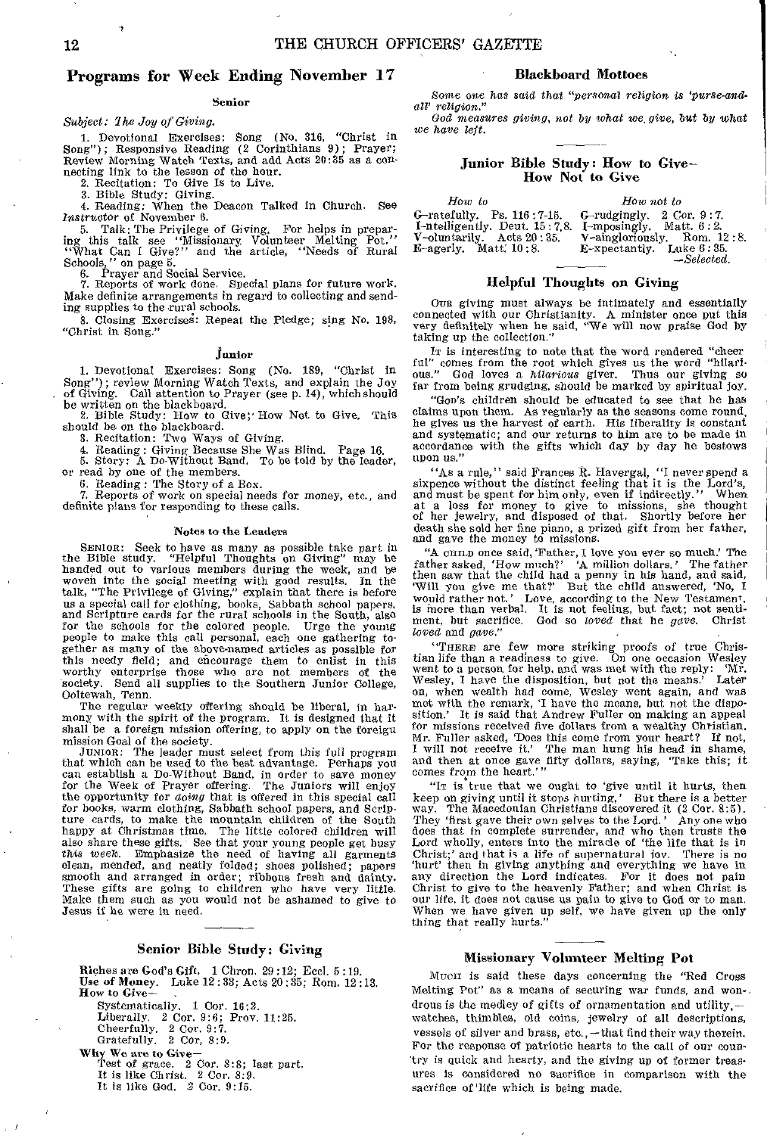# Programs for Week Ending November 17

# Senior

*Subject: The Joy of Giving.* 

1. Devotional Exercises: Song (No. 316, "Christ in Song"); Responsive Reading (2 Corinthians 9); Prayer; Review Morning Watch Texts, and add Acts 20:35 as a con-necting link to the lesson of the hour.

2. Recitation: To Give Is to Live. 3. Bible Study: Giving.

4. Reading: When the Deacon Talked in Church. See Instructor of November 6.

5. Talk: The Privilege of Giving. For helps in preparing this talk see "Missionary Volunteer Melting Pot."<br>"What Can I Give?" and the article, "Needs of Rural Schools," on page 5.

6. Prayer and Social Service. 7. Reports of work done, Special plans for future work. Make definite arrangements in regard to collecting and sending supplies to the rural schools.

8. Closing Exerciseg: Repeat the Pledge; sing No. 198, "Christ in Song."

# junior

1. Devotional Exercises: Song (No. 189, "Christ in Song"); review Morning Watch Texts, and explain the Joy of Giving. Call attention to Prayer (see p. 14), which should

be written on the blackboard.<br>
2. Bible Study: How to Give; How Not to Give. This should be on the blackboard.

3. Recitation: Two Ways of Giving.

4. Reading: Giving Because She Was Blind. Page 16. 5. Story: A Do-Without Band. To be told by the leader,

or read by one of the members.

6. Reading : The Story of a Box.

Reports of work on special needs for money, etc., and definite plans for responding to these calls.

# **Notes to** the Leaders

SENIOR: Seek to have as many as possible take part in the Bible study. "Helpful Thoughts on Giving" may be handed out to various members during the week, and be woven into the social meeting with good results. In the talk, "The Privilege of Giving," explain that there is before us a special call for clothing, books, Sabbath school papers, and Scripture cards for the rural schools in the South, also for the schools for the colored people. Urge the young People to make this call personal, each one gathering together as many of the above-named articles as possible for this needy field; and encourage them to enlist in this worthy enterprise those who are not members of the worthy enterprise those who are not members of society. Send all supplies to the Southern Junior Col Send all supplies to the Southern Junior College, Ooltewah, Tenn.

The regular weekly offering should be liberal, in harmony with the spirit of the program. It is designed that it shall be a foreign mission offering, to apply on the foreign

mission Goal of the society. JUNIOR: The leader must select from this full program that which can be used to the hest advantage. Perhaps you can establish a Do-Without Band, in order to save money for the Week of Prayer offering. The Juniors will enjoy the opportunity for *doing* that is offered in this special call for books, warm clothing, Sabbath school papers, and Scripture cards, to make the mountain children of the South happy at Christmas time. The little colored children will also share these gifts. See that your young people get busy this week. Emphasize the need of having all garments clean, mended, and neatly folded; shoes polished; papers smooth and arranged in order; ribbons fresh and dainty. These gifts are going to children who have very little. Make them such as you would not be ashamed to give to Jesus if he were in need.

# Senior Bible Study: Giving

Riches are God's Gift. 1 Chron. 29 :12; Eed. 5 :19. Use of Money. Luke 12 : 33; Acts 20 :35; Rom. 12:13. How to Give-

Systematically. 1 Cor. 16:2. Liberally. 2 Cor. 9:6; Prov. 11:25. Cheerfully. 2 Cor. 9:7. Gratefully. 2 Cor, 8:9. Why We are to Give-Test of grace. 2 Cor. 8:8; last part. It is like Christ. 2 Cor. 8:9.

It is like God. 2 Cor. 9:15.

# Blackboard Mottoes

Some one has said that *"personal religion is 'purse-andall' religion."* 

*God measures giving, not by what we, give,* but by what *we have left.* 

# Junior Bible Study: How to Give-How Not to Give

| How to                                                                                                                                                        | How not to                                                                                |  |  |
|---------------------------------------------------------------------------------------------------------------------------------------------------------------|-------------------------------------------------------------------------------------------|--|--|
| G-ratefully. Ps. 116:7-15.<br><b>1-ntelligently.</b> Deut. $15:7,8$ . I-mposingly. Matt. $6:2$ .<br>V-oluntarily. Acts 20:35.<br><b>E-agerly.</b> Matt. 10:8. | G-rudgingly. 2 Cor. 9:7.<br>V-aingloriously, Rom. 12:8.<br>$E$ -xpectantly. Luke $6:35$ . |  |  |
|                                                                                                                                                               | $-Selected.$                                                                              |  |  |

# Helpful Thoughts on Giving

Oua giving must always be intimately and essentially connected with our Christianity. A minister once put this very definitely when he said, "We will now praise God by taking up the collection."

IT is interesting to note that the word rendered "cheer ful" comes from the root which gives us the word "hilari-ous." God loves a *hilarious* giver. Thus our giving so far from being grudging, should be marked by spiritual joy.

"Goo's children should be educated to see that he has claims upon them. As regularly as the seasons come round, he gives us the harvest of earth. His liberality is constant and systematic; and our returns to him are to be made in accordance with the gifts which day by day he bestows upon us."

"As a rule," said Frances R. Havergal, "I never spend a. sixpence without the distinct feeling that it is the Lord's, and must be spent for him only, even if indirectly." When at a loss for money to give to missions, she thought of her jewelry, and disposed of that. Shortly before her death she sold her fine piano, a prized gift from her father, and gave the money to missions.

"A cHILD once said, 'Father, I love you ever so much' The father asked, 'How much?' A million dollars.' The father then saw that the child had a penny in his hand, and said, 'Will you give me that?' But the child answered, 'No, I would rather not,' Love, according to the New Testament, is more than verbal. It is not feeling, but fact; not senti-ment, but sacrifice. God so *loved* that he *gave.* Christ *loved* and *gave.*"

"THERE are few more striking proofs of true Chris-tian life than a readiness to give. On one occasion Wesley tian life than a readiness to give. On one occasion Wesley went to a person for help, and was met with the reply: 'Mr. Wesley, I have the disposition, but not the means.' Later on, when wealth had come, Wesley went again, and was met with the remark, 'I have the means, but not the disposition.' It is said that Andrew Fuller on making an appeal for missions received five dollars from a wealthy Christian. Mr. Fuller asked, 'Does this come from your heart? If not, I will not receive it.' The man hung his head in shame, and then at once gave fifty dollars, saying, 'Take this; it comes from the heart.'"

"It is true that we ought to 'give until it hurts, then keep on giving until it stops hurting,' But there is a better way. The Macedonian Christians discovered it (2 Cor. 8:5). The Macedonian Christians discovered it (2 Cor. 8:5). They 'first gave their own selves to the Lord.' Any one who does that in complete surrender, and who then trusts the Lord wholly, enters into the miracle of 'the life that is in Christ;' and that is a life of supernatural iov. There is no 'hurt' then in giving anything and everything we have in any direction the Lord indicates. For it does not pain Christ to give to the heavenly Father; and *when* Christ is our life, it does not cause us pain to give to God or to man. When we have given up self, we have given up the only thing that really hurts."

# Missionary Volunteer Melting Pot

MuCII is said these days concerning the "Red Cross Melting Pot" as a means of securing war funds, and wondrous is the medley of gifts of ornamentation and utility, watches, thimbles, old coins, jewelry of all descriptions, vessels of silver and brass, etc., - that find their way therein. For the response of patriotic hearts to the call of our country is quick and hearty, and the giving up of former treasures is considered no sacrifice in comparison with the sacrifice of 'life which is being made.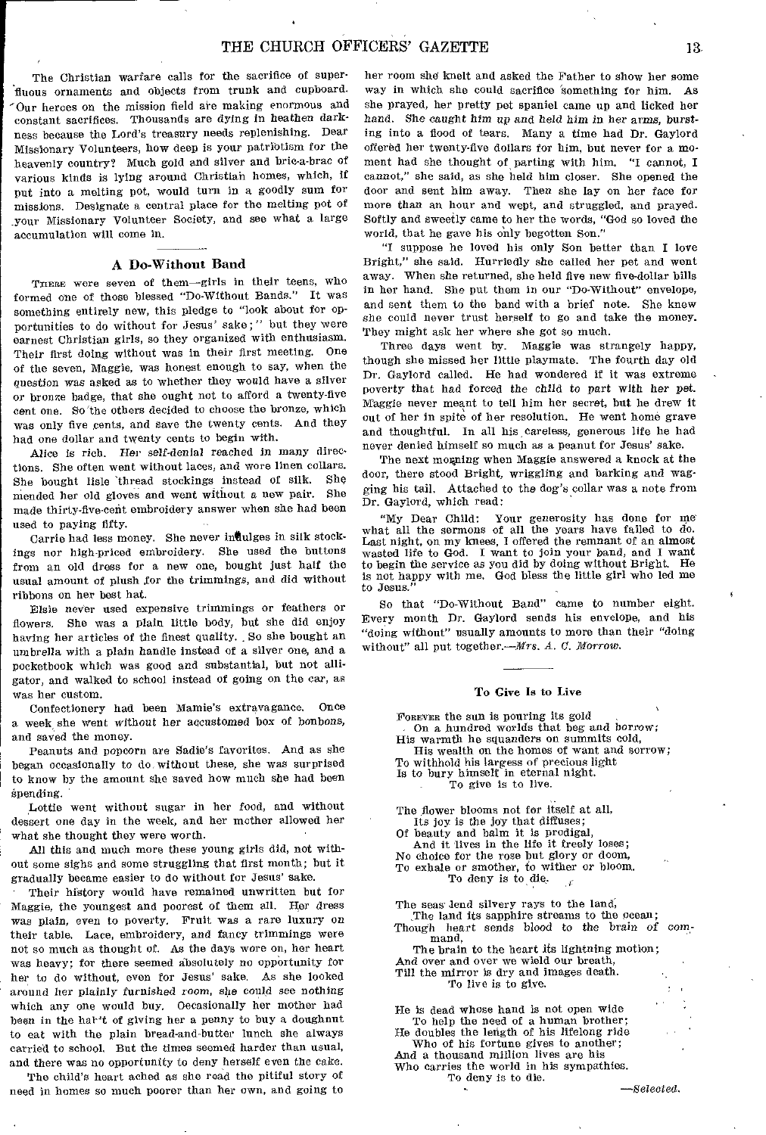The Christian warfare calls for the sacrifice of superfluous ornaments and objects from trunk and cupboard. Our heroes on the mission field are making enormous and constant sacrifices. Thousands are dying in heathen darkness because the Lord's treasury needs replenishing. Dear Missionary Volunteers, how deep is your patribtism for the heavenly country? Much gold and silver and brie-a-brae of various kinds is lying around Christian homes, which, if put into a melting pot, would turn in a goodly sum for missions. Designate a central place for the melting pot of your Missionary Volunteer Society, and see what a large accumulation will come in.

# A Do-Without Band

THERE were seven of them-girls in their teens, who formed one of those blessed "Do-Without Bands." It was something entirely new, this pledge to "look about for opportunities to do without for Jesus' sake;" but they were earnest Christian girls, so they organized with enthusiasm. Their first doing without was in their first meeting, One of the seven, Maggie, was honest enough to say, when the question was asked as to whether they would have a silver or bronze badge, that she ought not to afford a twenty-five cent one. So'the others decided to choose the bronze, which was only five cents, and save the twenty cents. And they had one dollar and twenty cents to begin with.

Alice is rich. Her self-denial reached in many directions. She often went without laces, and wore linen collars.<br>She hought, links thread, stockings, instead, of silk. She She bought lisle thread stockings instead of silk. She<br>manded her ald glores and went without a new pair. She mended her old gloves and went without a new pair. made thirty-five-emit embroidery answer when she had been used to paying fifty.

Carrie had less money. She never indulges in silk stockings nor high-priced embroidery. She used the buttons from an old dress for a new one, bought just half the usual amount of plush for the trimmings, and did without ribbons on her best hat.

Elsie never used expensive trimmings or feathers or flowers. She was a plain little body, but she did enjoy having her articles of the finest quality. So she bought an umbrella with a plain handle instead of a silver one, and a pocketbook which was good and substantial, but not alligator, and walked to school instead of going on the car, as was her custom.

Confectionery had been Mamie's extravagance. Once a week she went *without her* accustomed box of bonbons, and saved the money.

Peanuts and popcorn are Sadie's favorites. And as she began occasionally to do, without these, she was surprised to know by the amount she saved how much she had been spending.

Lottie went without sugar in her food, and without dessert one day in the week, and her mother allowed her what she thought they were worth.

All this and much more these young girls did, not without some sighs and some struggling that first month; but it gradually became easier to do without for Jesus' sake.

Their history would have remained unwritten but for Maggie, the youngest and poorest of them all. Her dress was plain, even to poverty. Fruit was a rare luxury on their table. Lace, embroidery, and fancy trimmings were not so much as thought of. As the days wore on, her heart was heavy; for there seemed absolutely no opportunity for her to do without, even for Jesus' sake. As she looked around her plainly furnished room, she could see nothing which any one would buy. Occasionally her mother had been in the hat't of giving her a penny to buy a doughnut to eat with the plain bread-and-butter lunch she always carried to school, But the times seemed harder than usual, and there was no opportunity to deny herself even the cake.

The child's heart ached as she read the pitiful story of need in homes so much poorer than her own, and going to her room she knelt and asked the Father to show her some way in which she could sacrifice 'something for him. As she prayed, her pretty pet spaniel came up and licked her hand. She caught *him up* and held him *in her arms, bursting* into a flood of tears. Many a time had Dr. Gaylord offered her twenty-five dollars for him, but never for a moment had she thought of parting with him. "I cannot, I cannot," she said, as she held him closer. She opened the door and sent him away. Then she lay on her face for more than an hour and wept, and struggled, and prayed. Softly and sweetly came to her the words, "God so loved the world, that he gave his only begotten Son."

"I suppose he loved his only Son better than I love Bright," she said. Hurriedly she called her pet and went away. When she returned, she held five new five-dollar bills in her hand. She put them in our "Do-Without" envelope, and sent them to the band with a brief note. She knew she could never trust herself to go and take the money. They might ask her where she got so much.

Three days went by. Maggie was strangely happy, though she missed her little playmate. The fourth day old Dr. Gaylord called. He had wondered if it was extreme poverty that had forced the child to part with her pet. Maggie never meant to tell him her secret, but he drew it out of her in spite of her resolution. He went home grave and thoughtful. In all his careless, generous life he had never denied himself so much as a peanut for Jesus' sake.

The next morning when Maggie answered a knock at the door, there stood Bright, wriggling and barking and wagging his tail. Attached to the dog's collar was a note from Dr. Gaylord, which read:

"My Dear Child: Your generosity has done for me what all the sermons of all the years have failed to do. Last night, on my knees, I offered the remnant of an almost wasted life to God. I want to join your band, and I want to begin the service as you did by doing without Bright. He is not happy with me. God bless the little girl who led me to Jesus."

So that "Do-Without Band" came to number eight. Every month Dr. Gaylord sends his envelope, and his "doing without" usually amounts to more than their "doing without" all put together.--*Mrs. A. C. Morrow*.

# To Give Is to Live

FOREVER the sun is pouring its gold On a hundred worlds that beg and borrow; His warmth he squanders on summits cold,

His wealth on the homes of want and sorrow;

- To withhold his largess of precious light Is to bury himself in eternal night.
	- To give is to live.

The flower blooms not for itself at all, Its joy is the joy that diffuses;

Of beauty and balm it is prodigal,

And it lives in the life it freely loses;

No choice for the rose but glory or doom,

To exhale or smother, to wither or bloom. To deny is to die.

The seas lend silvery rays to the land,

The land its sapphire streams to the ocean; Though heart sends blood to the brain *of command,* 

The brain to the heart its lightning motion; And over and over we wield our breath, Till the mirror is dry and images death.

To live is to give.

He is dead whose hand is not open wide To help the need of a human brother; He doubles the length of his lifelong ride Who of his fortune gives to another;

And a thousand million lives are his Who carries the world in his sympathies. To deny is to die.

*—Selected.*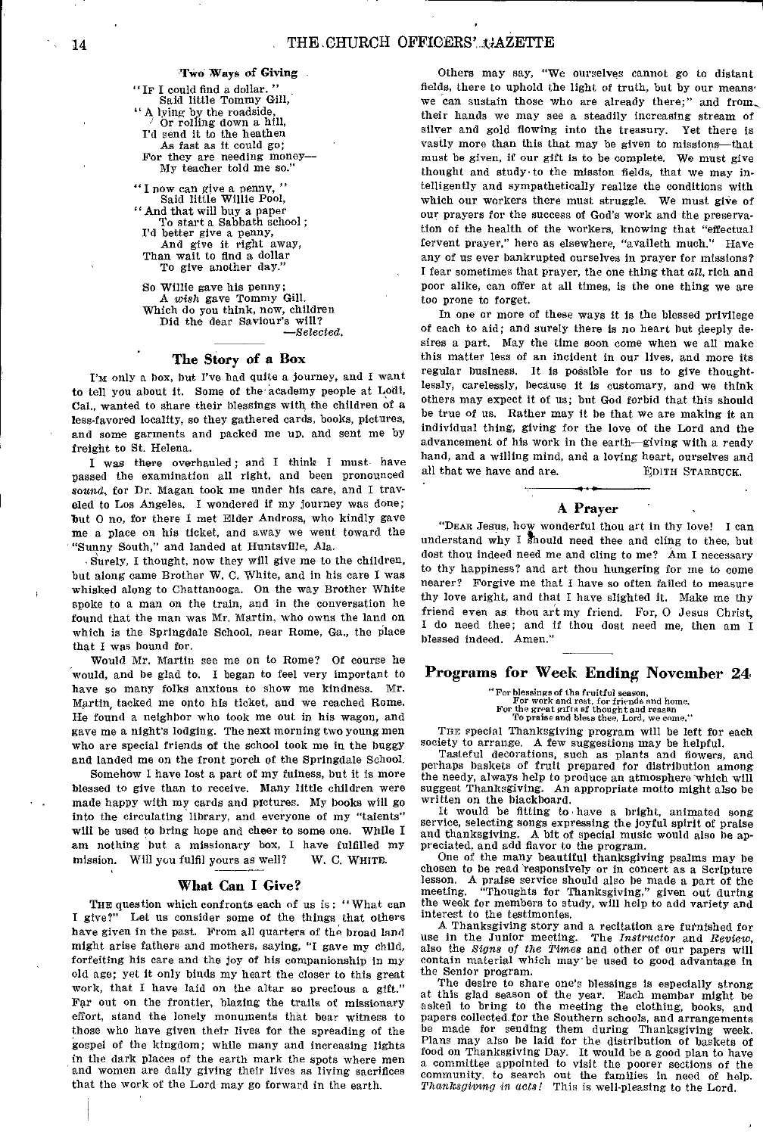TWO Ways of Giving

"IF I could find a dollar. " Said little Tommy Gill, "A lying by the roadside, / Or rolling down a hill, I'd send it to the heathen As fast as it could go; For they are needing money— My teacher told me so."

" I now can give a penny, " Said little Willie Pool, "And that will buy a paper To start a Sabbath school; I'd better give a penny, And give it right away, Than wait to find a dollar To give another day."

So Willie gave his penny; A *wish* gave Tommy Gill. Which do you think, now, children Did the dear Saviour's will? *—Selected.* 

# The Story of a Box

I'm only a box, but I've had quite a journey, and I want to tell you about it. Some of the academy people at Lodi, Cal., wanted to share their blessings with the children of a less-favored locality, so they gathered cards, books, pictures, and some garments and packed me up, and sent me by freight to St. Helena.

I was there overhauled; and I think I must have passed the examination all right, and been pronounced *sound,* for Dr. Magan took me under his care, and I traveled to Los Angeles. I wondered if my journey was done; but 0 no, for there I met Elder Andress, who kindly gave me a place on his ticket, and away we went toward the "Sunny South," and landed at Huntsville, Ala.

Surely, I thought, now they will give me to the children, but along came Brother W. C. White, and in his care I was whisked along to Chattanooga. On the way Brother White spoke to a man on the train, and in the conversation he found that the man was Mr. Martin, who owns the land on which is the Springdale School, near Rome, Ga., the place that I was bound for.

Would Mr. Martin see me on to Rome? Of course he would, and be glad to. I began to feel very important to have so many folks anxious to show me kindness. Mr. Martin, tacked me onto his ticket, and we reached Rome. He found a neighbor who took me out in his wagon, and gave me a night's lodging. The next morning two young men who are special friends of the school took me in the buggy and landed me on the front porch of the Springdale School.

Somehow I have lost a part of my fulness, but it is more blessed to give than to receive. Many little children were made happy with my cards and pictures. My books will go into the circulating library, and everyone of my "talents" will be used to bring hope and cheer to some one. While I am nothing but a missionary box, I have fulfilled my mission. Will you fulfil yours as well? W. C. WHITE.

# What Can I Give?

THE question which confronts each of *us* is : "What can I give?" Let us consider some of the things that others have given in the past. From all quarters of the broad land might arise fathers and mothers, saying, "I gave my child, forfeiting his care and the joy of his companionship in my old age; yet it only binds my heart the closer to this great work, that I have laid on the altar so precious a gift." Far out on the frontier, blazing the trails of missionary effort, stand the lonely monuments that bear witness to those who have given their lives for the spreading of the gospel of the kingdom; while many and increasing lights in the dark places of the earth mark the spots where men and women are daily giving their lives as living sacrifices that the work of the Lord may go forward in the earth.

Others may say, "We ourselves cannot go to distant fields, there to uphold the light of truth, but by our means' we can sustain those who are already there;" and from., their hands we may see a steadily increasing stream of silver and gold flowing into the treasury. Yet there is vastly more than this that may be given to missions—that must be given, if our gift is to be complete. We must give thought and study•to the mission fields, that we may intelligently and sympathetically realize the conditions with which our workers there must struggle. We must give of our prayers for the success of God's work and the preservation of the health of the workers, knowing that "effectual fervent prayer," here as elsewhere, "availeth much." Have any of us ever bankrupted ourselves in prayer for missions? I fear sometimes that prayer, the one thing that *cal,* rich and poor alike, can offer at all times, is the one thing we are too prone to forget.

In one or more of these ways it is the blessed privilege of each to aid; and surely there is no heart but deeply desires a part. May the time soon come when we all make this matter less of an incident in our lives, and more its regular business. It is possible for us to give thoughtlessly, carelessly, because it is customary, and we think others may expect it of us; but God forbid that this should be true of us. Rather may it be that we are making it an individual thing, giving for the love of the Lord and the advancement of his work in the earth—giving with a ready hand, and a willing mind, and a loving heart, ourselves and all that we have and are. EDITH STARBUCK.

# A Prayer

"DEAR Jesus, how wonderful thou art in thy love! I can understand why I should need thee and cling to thee, but dost thou indeed need me and cling to me? Am I necessary to thy happiness? and art thou hungering for me to come nearer? Forgive me that I have so often failed to measure thy love aright, and that I have slighted it. Make me thy friend even as thou art my friend. For, 0 Jesus Christ, I do need thee; and if thou dost need me, then am I blessed indeed. Amen."

# Programs for Week Ending November 24

"For blessings of the fruitful season, For work and rest, for friends and home, For the great gifts of thought and reason To praise and bless thee, Lord, we come."

THE special Thanksgiving program will be left for each society to arrange. A few suggestions may be helpful.

Tasteful decorations, such as plants and flowers, and perhaps baskets of fruit prepared for distribution among the needy, always help to produce an atmosphere which will suggest Thanksgiving. An appropriate motto might also be written on the blackboard.

It would be fitting to have a bright, animated song service, selecting songs expressing the joyful spirit of praise and thanksgiving. A bit of special music would also be appreciated, and add flavor to the program.

One of the many beautiful thanksgiving psalms may be chosen to be read 'responsively or in concert as a Scripture lesson, A praise service should also be made a part of the meeting. "Thoughts for Thanksgiving," given out during the week for members to study, will help to add variety and interest to the testimonies.

A Thanksgiving story and a recitation are furnished for use in the Junior meeting. The *Instructor* and *Review,*  also the *Signs of the Times* and other of our papers will contain material which may' be used to good advantage in the Senior program.

The desire to share one's blessings is especially strong at this glad season of the year. Each member might be asked to bring to the meeting the clothing, books, and papers collected for the Southern schools, and arrangements be made for sending them during Thanksgiving week. Plans may also be laid for the distribution of baskets of food on Thanksgiving Day. It would be a good plan to have a committee appointed to visit the poorer sections of the community, to search out the families in need of help. *Thanksgiving* in *acts!* This is well-pleasing to the Lord.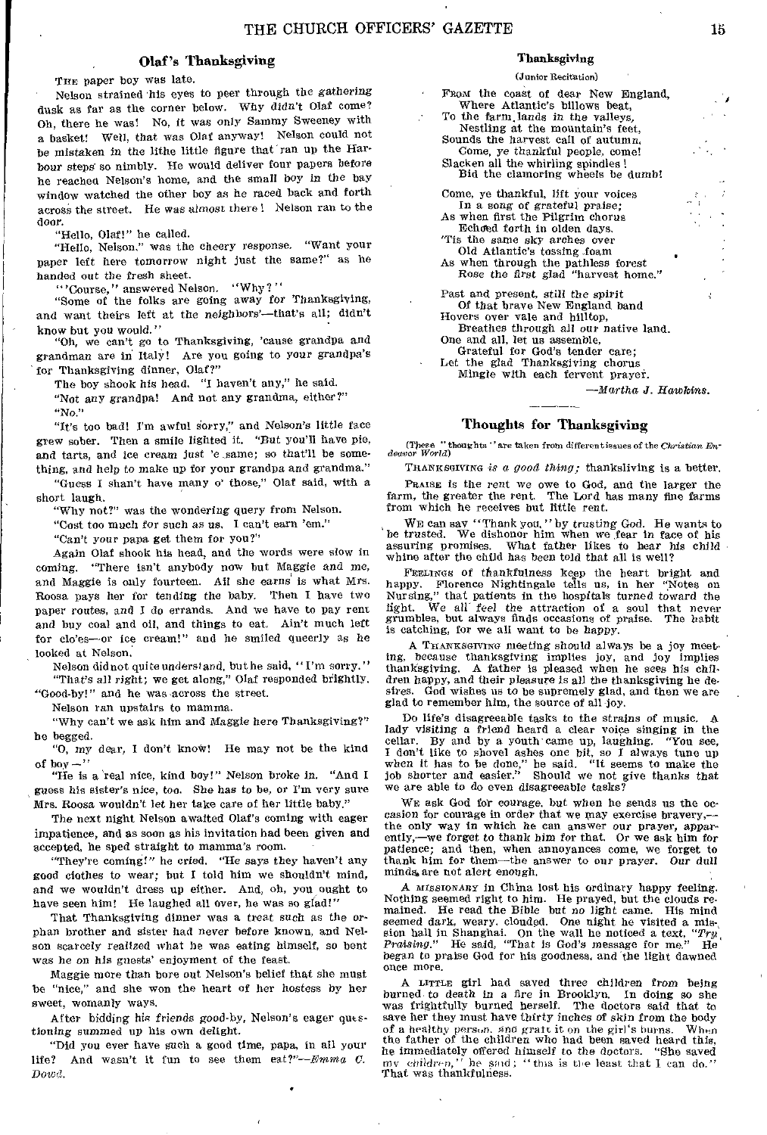# Olaf's Thanksgiving

THE paper boy was late.

Nelson strained his eyes to peer through the gathering dusk as far as the corner below. Why didn't Olaf come? Oh, there he was! No, it was only Sammy Sweeney with a basket! Well, that was Olaf anyway! Nelson could not be mistaken in the lithe little figure that ran up the Harbour steps so nimbly. He would deliver four papers before he reached Nelson's home, and the small boy *in* the bay window watched the other boy as he raced back and forth across the street. He was *almost* there ! Nelson ran to the door.

"Hello, Olaf!" he called.

"Hello, Nelson." was the cheery response. "Want your paper left here tomorrow night just the same?" as he handed out the *fresh* sheet.

"'Course," answered Nelson. "Why?"

"Some of the folks are going away for Thanksgiving, and want theirs left at the neighbors'—that's all; didn't know but you would."

"Oh, we can't go to Thanksgiving, 'cause grandpa and grandman are in Italy! Are you going to your grandpa's for Thanksgiving dinner, Olaf?"

The boy shook his head, "I haven't any," he said.

"Not any grandpa! And not any grandma, either?" "No,'

"It's too bad! I'm awful sorry," and Nelson's little face grew sober. Then a smile lighted it. "But you'll have pie, and tarts, and ice cream *just* 'e .same; so that'll be something, and help to make up for your grandpa and grandma."

"Guess I shan't have many o' those," Olaf said, with a short laugh.

"Why not?" was the wondering query from Nelson.

"Cost too much for such as us. I can't earn 'em."

"Can't your papa get them for you?"

Again Olaf shook his head, and the words were slow in coming. "There isn't anybody now but Maggie and me, and Maggie is only fourteen. All she earns is what Mrs. Roosa pays her for tending the baby. Then I have two paper routes, and I do errands. And we have to pay rent and buy coal and oil, and things to eat. Ain't much left for clo'es—or ice cream!" and he smiled queerly as he looked at Nelson.

Nelson did not quite understand, but he said, "I'm sorry." "That's all right; we get along," Olaf responded brightly.

"Good-by!" and he was across the street.

Nelson ran upstairs to mamma.

"Why can't we ask him and Maggie here Thanksgiving?" he begged.

"0, my dear, I don't knoW! He may not be the kind of boy  $-$ "

"He is a 'real nice, kind boy!" Nelson broke in. "And I guess his sister's nice, too. She has to be, or I'm very sure Mrs. Roosa wouldn't let her take care of her little baby."

The next night Nelson awaited Olaf's coming with eager impatience, and as soon as his invitation had been given and accepted, he sped straight to mamma's room.

"They're coming!" he cried. "He says they haven't any good clothes to wear; but I told him we shouldn't mind, and we wouldn't dress up either. And, oh, you ought to have seen him! He laughed all over, he was so glad!"

That Thanksgiving dinner was a treat such as the orphan brother and sister had never before known, and Nelson scarcely realized what he was eating himself, so bent was he on his guests' enjoyment of the feast.

Maggie more than bore out Nelson's belief that she must be "nice," and she won the heart of her hostess by her sweet, womanly ways.

After bidding his *friends* good-by, Nelson's eager questioning summed up his own delight.

"Did you ever have such a good time, papa, in all your life? And wasn't it fun to see them *eat?"—Emma C. Dowd.* 

# Thanksgiving

## (Junior Recitation)

From the coast of dear New England, Where Atlantic's billows beat, To the farm.lands in the valleys, Nestling at the mountain's feet, Sounds the harvest call of autumn, Come, ye thankful people, come! Slacken all the whirling spindles ! Bid the clamoring wheels be dumb! Come, ye thankful, lift your voices In a song of grateful praise; As when first the Pilgrim chorus Echoad forth in olden days, 'Tis the same sky arches over

Old Atlantic's tossing foam

As when through the pathless forest Rose the first glad "harvest home."

Past and present, still the spirit Of that brave New England band Hovers over vale and hilltop,

Breathes *through* all our native land. One and all, let us assemble,

Grateful for God's tender care;

Let the glad Thanksgiving chorus Mingle with each fervent prayer.

*—Martha J. Hawkins.* 

# Thoughts for Thanksgiving

(These "thoughts "are taken from differentiesues of the *Christian En- deavor World)* 

THANKSGIVING *is a good thing;* thanksliving is a better. PRAISE is the rent we owe to God, and the larger the farm, the greater the rent. The Lord has many fine farms from which he receives but little rent.

WE can say "Thank you," by *trusting God.* He wants to be trusted. We dishonor him when we fear in face of his assuring promises. What father likes to hear his child whine after the child has been told that all is well?

FEELINGS of thankfulness keep the heart bright and happy. Florence Nightingale tells us, in her "Notes on Nursing," that patients in the hospitals turned toward the light. We all feel the attraction of a soul that never grumbles, but always finds occasions of praise. The habit is catching, for we all want to be happy.

A THANKSGIVING meeting *should* always be a joy meet. ing, because thanksgiving implies joy, and joy implies A father is pleased when he sees his children happy, and their pleasure is all the thanksgiving he desires. God wishes us to be supremely glad, and then we are glad to remember him, the source of all joy.

Do life's disagreeable tasks to the *strains of* music. A lady visiting a friend heard a clear voice singing in the cellar. By and by a youth came up, laughing. "You see, I don't like to shovel ashes one bit, so I always tune up when it has to be done," he said. "It seems to make the job shorter and easier." Should we not give thanks that we are able to do even disagreeable tasks?

WE ask God for courage, but when he sends us the occasion for courage in order that we may exercise bravery, the only way in which he can answer our prayer, apparently,—we forget to thank him for that. Or we ask him for patience; and then, when annoyances come, we forget to thank him for them—the answer to our prayer. Our dull minds, are not alert enough.

A *MISSIONARY* in China lost his ordinary happy feeling, Nothing seemed right to him. He prayed, but the clouds re-<br>mained. He read the Bible but *no* light came. His mind<br>seemed dark, weary. clouded. One night he visited a mission hall in Shanghai. On the wall he noticed a text, "Try, *Praising."* He said, "That is God's message for me." He began to praise God for his goodness, and the light dawned once more.

A LITTLE girl had saved three children from being burned- to death in a fire in Brooklyn. In doing so she was frightfully burned herself. The doctors said that to save her they must have thirty inches of skin from the body of a healthy person, and gratt it on the girl's burns. When of a healthy person. and graft it on the girl's burns. When the father of the children who had been saved heard this, he immediately offered himself to the doctors. "She saved  $my$  children," he said; "this is the least that I can do." That was thankfulness.

ł.